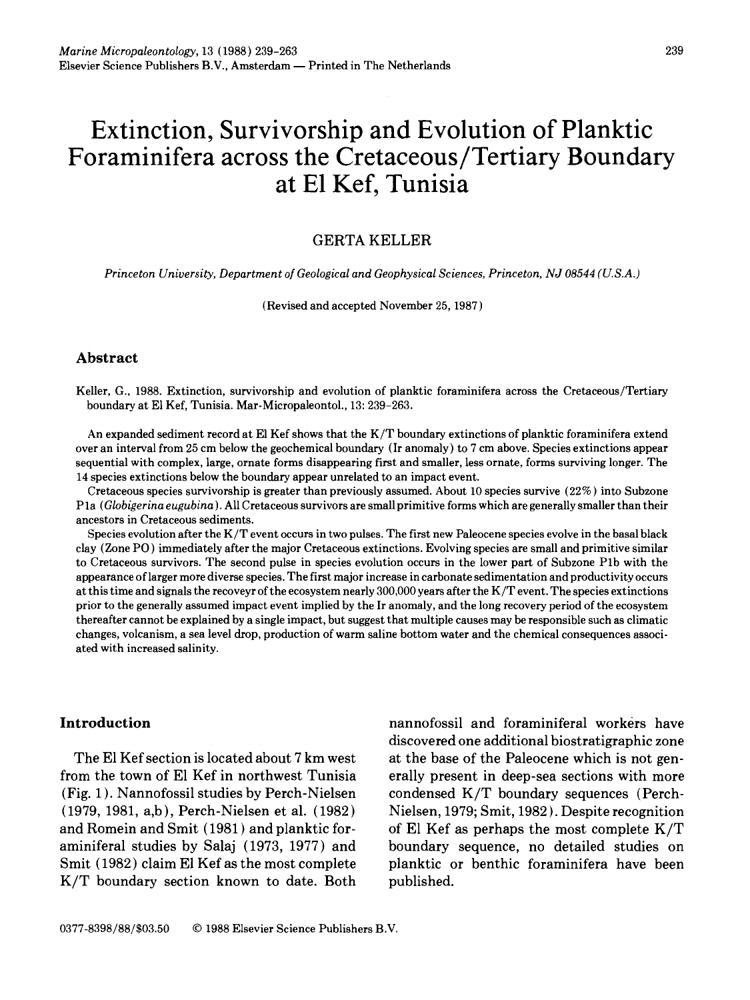# **Extinction, Survivorship and Evolution of Planktic Foraminifera across the Cretaceous/Tertiary Boundary at E1 Kef, Tunisia**

## GERTA KELLER

*Princeton University, Department of Geological and Geophysical Sciences, Princeton, NJ 08544 (U.S.A.)* 

(Revised and accepted November 25, 1987 )

## **Abstract**

Keller, G., 1988. Extinction, survivorship and evolution of planktic foraminifera across the Cretaceous/Tertiary boundary at E1 Kef, Tunisia. Mar-Micropaleontol., 13: 239-263.

An expanded sediment record at E1 Kef shows that the K/T boundary extinctions of planktic foraminifera extend over an interval from 25 cm below the geochemical boundary (Ir anomaly) to 7 cm above. Species extinctions appear sequential with complex, large, ornate forms disappearing first and smaller, less ornate, forms surviving longer. The 14 species extinctions below the boundary appear unrelated to an impact event.

Cretaceous species survivorship is greater than previously assumed. About 10 species survive (22%) into Subzone Pla *(Globigerina eugubina).* All Cretaceous survivors are small primitive forms which are generally smaller than their ancestors in Cretaceous sediments.

Species evolution after the K/T event occurs in two pulses. The first new Paleocene species evolve in the basal black clay (Zone PO ) immediately after the major Cretaceous extinctions. Evolving species are small and primitive similar to Cretaceous survivors. The second pulse in species evolution occurs in the lower part of Subzone Plb with the appearance of larger more diverse species. The first major increase in carbonate sedimentation and productivity occurs at this time and signals the recoveyr of the ecosystem nearly 300,000 years after the K/T event. The species extinctions prior to the generally assumed impact event implied by the Ir anomaly, and the long recovery period of the ecosystem thereafter cannot be explained by a single impact, but suggest that multiple causes may be responsible such as climatic changes, volcanism, a sea level drop, production of warm saline bottom water and the chemical consequences associated with increased salinity.

from the town of E1 Kef in northwest Tunisia erally present in deep-sea sections with more (Fig. 1 ). Nannofossil studies by Perch-Nielsen condensed K/T boundary sequences (Perch- (1979, 1981, a,b), Perch-Nielsen et al. (1982) Nielsen, 1979; Smit, 1982). Despite recognition and Romein and Smit (1981) and planktic for- of El Kef as perhaps the most complete  $K/T$ aminiferal studies by Salaj (1973, 1977) and boundary sequence, no detailed studies on Smit (1982) claim El Kef as the most complete planktic or benthic foraminifera have been K/T boundary section known to date. Both published.

**Introduction nannofossil and foraminiferal workers have** discovered one additional biostratigraphic zone The El Kef section is located about  $7 \text{ km}$  west at the base of the Paleocene which is not gen-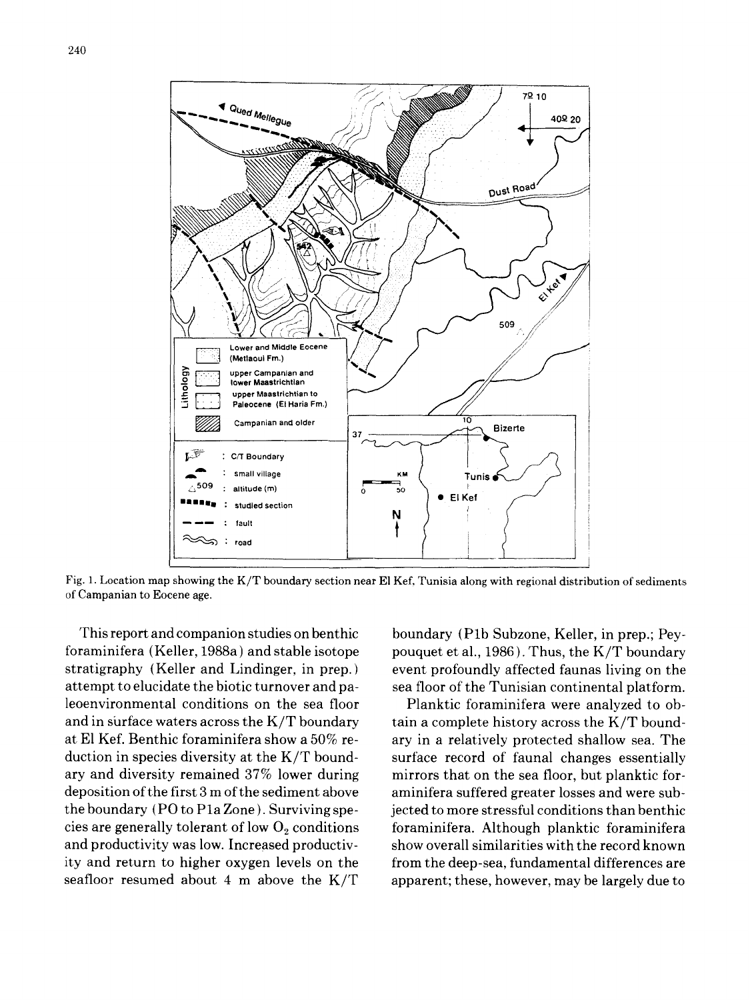

Fig. 1. Location map showing the K/T boundary section near E1 Kef, Tunisia along with regional distribution of sediments of Campanian to Eocene age,

foraminifera (Keller, 1988a) and stable isotope pouquet et al., 1986). Thus, the K/T boundary stratigraphy (Keller and Lindinger, in prep. ) event profoundly affected faunas living on the attempt to elucidate the biotic turnover and pa- sea floor of the Tunisian continental platform. leoenvironmental conditions on the sea floor Planktic foraminifera were analyzed to oband in surface waters across the  $K/T$  boundary tain a complete history across the  $K/T$  boundat E1 Kef. Benthic foraminifera show a 50% re- ary in a relatively protected shallow sea. The duction in species diversity at the K/T bound- surface record of faunal changes essentially ary and diversity remained 37% lower during mirrors that on the sea floor, but planktic fordeposition of the first 3 m of the sediment above aminifera suffered greater losses and were subthe boundary (PO to Pla Zone ). Surviving spe- jected to more stressful conditions than benthic cies are generally tolerant of low  $O_2$  conditions foraminifera. Although planktic foraminifera and productivity was low. Increased productiv-<br>show overall similarities with the record known ity and return to higher oxygen levels on the from the deep-sea, fundamental differences are seafloor resumed about 4 m above the  $K/T$  apparent; these, however, may be largely due to

This report and companion studies on benthic boundary (P1b Subzone, Keller, in prep.; Pey-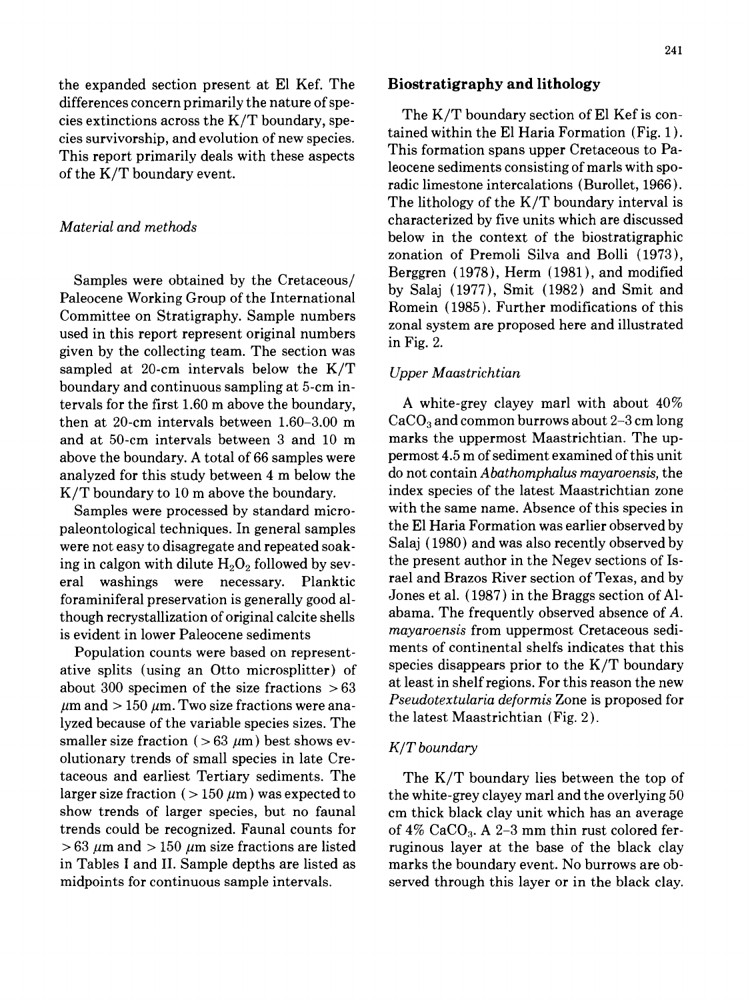the expanded section present at E1 Kef. The **Biostratigraphy and lithology**  differences concern primarily the nature of spe-The  $K/T$  boundary section of El Kef is concies extinctions across the  $K/T$  boundary, spe-<br>size evantuary, and suclution of now process. tained within the El Haria Formation (Fig. 1). cies survivorship, and evolution of new species.<br>This formation spans upper Cretaceous to Pa-<br>This formation spans upper Cretaceous to Pa-This report primarily deals with these aspects Intervet primarily deals with snow depends to leocene sediments consisting of marls with spo-<br>of the K/T boundary event.

Paleocene Working Group of the International By Salaj (1977), Smit (1982) and Smit and<br>Committee on Strational Boundary Romein (1985). Further modifications of this Committee on Stratigraphy. Sample numbers<br>used in this report represent original numbers<br>given by the collecting team. The section was<br>in Fig. 2. sampled at 20-cm intervals below the K/T *Upper Maastrichtian*  boundary and continuous sampling at 5-cm intervals for the first 1.60 m above the boundary,  $\hbar$  white-grey clayey marl with about 40% then at 20-cm intervals between  $1.60-3.00 \text{ m}$  CaCO<sub>3</sub> and common burrows about 2-3 cm long and at 50-cm intervals between 3 and 10 m marks the uppermost Maastrichtian. The upabove the boundary. A total of 66 samples were permost 4.5 m of sediment examined of this unit analyzed for this study between 4 m below the do not contain *Abathomphalus mayaroensis,* the K/T boundary to 10 m above the boundary. index species of the latest Maastrichtian zone

paleontological techniques. In general samples the El Haria Formation was earlier observed by were not easy to disagregate and repeated soak-<br>Salaj (1980) and was also recently observed by ing in calgon with dilute  $H_2O_2$  followed by sev-<br>the present author in the Negev sections of Iseral washings were necessary. Planktic rael and Brazos River section of Texas, andby foraminiferal preservation is generally good al-<br>though recrystallization of original calcite shells abama. The frequently observed absence of A. though recrystallization of original calcite shells abama. The frequently observed absence of A.<br>is ovident in lower Peleceone sediments mayareensis from uppermost Cretaceous sedi-

Population counts were based on representative splits (using an Otto microsplitter) of species disappears prior to the K/T boundary<br>shout 300 specimen of the size fractions  $\geq 63$  at least in shelf regions. For this reason the new about 300 specimen of the size fractions  $>63$  at least in shell regions. For this reason the new  $\mu$ m and  $> 150~\mu$ m. Two size fractions were ana-<br>lyzed because of the variable creation irres. The latest Maastrichtian (Fig. 2). lyzed because of the variable species sizes. The smaller size fraction ( $> 63 \mu m$ ) best shows ev-<br>*K/T boundary* olutionary trends of small species in late Cretaceous and earliest Tertiary sediments. The The K/T boundary lies between the top of larger size fraction ( $> 150~\mu$ m) was expected to the white-grey clayey marl and the overlying 50 show trends of larger species, but no faunal cm thick black clay unit which has an average trends could be recognized. Faunal counts for of  $4\%$  CaCO<sub>3</sub>. A 2-3 mm thin rust colored fer- $> 63 \mu m$  and  $> 150 \mu m$  size fractions are listed ruginous layer at the base of the black clay in Tables I and II. Sample depths are listed as marks the boundary event. No burrows are obmidpoints for continuous sample intervals. Served through this layer or in the black clay.

radic limestone intercalations (Burollet, 1966). The lithology of the K/T boundary interval is *Material and methods* characterized by five units which are discussed below in the context of the biostratigraphic zonation of Premoli Silva and Bolli (1973), Samples were obtained by the Cretaceous/<br>by Salaj (1977), Smit (1982) and Smit and<br>letter that the contract of the Multiple of the Multiple of the Multiple of the Multiple of the Salaj (1977), Smit (1982) and Smit and

Samples were processed by standard micro- with the same name. Absence of this species in is evident in lower Paleocene sediments *mayaroensis* from uppermost Cretaceous sedi-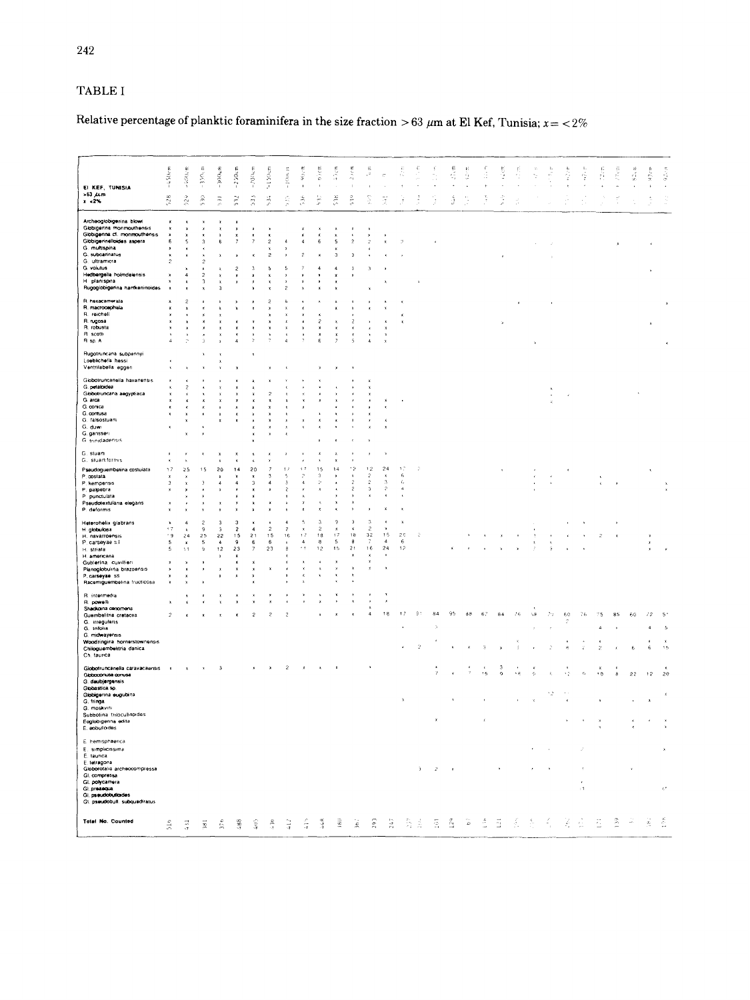# TABLE I

# Relative percentage of planktic foraminifera in the size fraction > 63  $\mu$ m at El Kef, Tunisia;  $x = \langle 2\% \rangle$

| EI KEF, TUNISIA<br>$> 63 \mu m$                                                       | $-450cm$       | $-400cm$                       | $\sim 350\mathrm{g}$ m | 300um               | $-250cm$            | $-200$ kem                | $-150$ cm           | $-100\,\mathrm{h}$           | $\frac{1}{2}$<br>$\blacksquare$ | $9.00$ m<br>$\mathbf{r}$         | 45cm                          | $250$ m<br>$\ddot{\phantom{a}}$          | ≘<br>ت<br>٠                 |                                           |                      |                |    | $\frac{1}{2}$ , $\frac{1}{2}$ | $\frac{1}{2}$ , $\frac{1}{2}$<br>÷. | tS. | i San | fi, | ÷, | $\frac{1}{\sqrt{2}}$ | ž      | Ŕ    | ă<br>×. | $\mathcal{C}\mathcal{N}$ in | $\mathbb{S}^2_{\omega}$ or | $\frac{1}{2}$ cm              | $\epsilon=9.2, \mathrm{cm}$ |
|---------------------------------------------------------------------------------------|----------------|--------------------------------|------------------------|---------------------|---------------------|---------------------------|---------------------|------------------------------|---------------------------------|----------------------------------|-------------------------------|------------------------------------------|-----------------------------|-------------------------------------------|----------------------|----------------|----|-------------------------------|-------------------------------------|-----|-------|-----|----|----------------------|--------|------|---------|-----------------------------|----------------------------|-------------------------------|-----------------------------|
| $x = 2\%$                                                                             | 528            | 524                            | $\frac{1}{2}$          | $\frac{1}{2}$       | $532$               | 533                       | $\frac{12}{3}$      | 535                          | $\tilde{\mathbb{R}}$            | F                                | $538$                         | 异                                        | ş                           | Ŧ                                         |                      |                |    | ã                             |                                     |     |       |     |    |                      |        |      |         |                             |                            |                               |                             |
| Archeoglobigerina blowi<br>Globigerina monmouthensis<br>Globigerina cf. monmouthensis |                | ×                              |                        |                     | ×                   |                           |                     |                              | $\boldsymbol{\mathsf{x}}$       |                                  | ×                             | ×                                        |                             |                                           |                      |                |    |                               |                                     |     |       |     |    |                      |        |      |         |                             |                            |                               |                             |
| Globigerinelloides aspera<br>G. multispina                                            |                | 5                              |                        | 6                   |                     |                           | $\overline{c}$      | $\overline{a}$               |                                 | 6                                | s                             | $\overline{c}$                           |                             |                                           |                      |                |    |                               |                                     |     |       |     |    |                      |        |      |         |                             |                            |                               |                             |
| G. subcarinatus                                                                       |                |                                |                        |                     |                     |                           | $\overline{c}$      |                              | 2                               |                                  | $\overline{\mathbf{3}}$       | $\overline{3}$                           |                             |                                           |                      |                |    |                               |                                     |     |       |     |    |                      |        |      |         |                             |                            |                               |                             |
| G. ultramicra<br>G. volutus                                                           | $\mathcal{D}$  |                                | $\mathcal{D}$          |                     | $\overline{a}$      | $\gamma$                  | ٨                   | S.                           |                                 | $\overline{4}$                   | $\overline{a}$                | $\mathcal{R}$                            | ٠                           |                                           |                      |                |    |                               |                                     |     |       |     |    |                      |        |      |         |                             |                            |                               |                             |
| Hedbergelia holmdelensis                                                              |                | $\mathbf{d}$                   | ٠                      |                     |                     | $\mathbf x$               | $\mathbf{r}$        | x                            |                                 |                                  | ×                             |                                          |                             |                                           |                      |                |    |                               |                                     |     |       |     |    |                      |        |      |         |                             |                            |                               |                             |
| H planispira                                                                          |                | x                              | 3                      | x                   |                     |                           | ×                   | x                            |                                 |                                  |                               |                                          |                             |                                           |                      |                |    |                               |                                     |     |       |     |    |                      |        |      |         |                             |                            |                               |                             |
| Rugoglobigenna hantkeninoides                                                         |                |                                |                        | 3                   |                     |                           |                     | 2                            |                                 |                                  |                               |                                          |                             |                                           |                      |                |    |                               |                                     |     |       |     |    |                      |        |      |         |                             |                            |                               |                             |
| R. hexacamerata                                                                       |                | $\overline{c}$                 |                        |                     |                     |                           | $\overline{c}$      | 6                            |                                 |                                  |                               |                                          |                             |                                           |                      |                |    |                               |                                     |     |       |     |    |                      |        |      |         |                             |                            |                               | $\boldsymbol{\mathbf{x}}$   |
| R. macrocephala<br>R. reicheli                                                        |                | ×                              |                        |                     |                     |                           |                     | ×<br>×                       |                                 |                                  |                               |                                          |                             |                                           | ×                    |                |    |                               |                                     |     |       |     |    |                      |        |      |         |                             |                            |                               |                             |
| R. rugosa                                                                             |                |                                |                        |                     |                     |                           |                     | ×                            |                                 | $\overline{c}$                   |                               | $\overline{c}$                           |                             |                                           |                      |                |    |                               |                                     |     |       |     |    |                      |        |      |         |                             |                            |                               |                             |
| R. robusta<br>R scott                                                                 |                | ý                              |                        |                     |                     |                           |                     | $\boldsymbol{\mathsf{x}}$    |                                 | $\mathbf{x}$<br>$\mathbf{x}$     |                               |                                          |                             | ×<br>$\boldsymbol{\chi}$                  |                      |                |    |                               |                                     |     |       |     |    |                      |        |      |         |                             |                            |                               |                             |
| R sp. A                                                                               | $\overline{4}$ | $\overline{\mathcal{C}}$       |                        |                     | A                   |                           |                     | 4                            |                                 | 6                                |                               | 5                                        | $\Delta$                    | x                                         |                      |                |    |                               |                                     |     |       |     |    |                      |        |      |         |                             |                            |                               |                             |
| Rugotruncana subpennyi<br>Loeblichella hassi<br>Ventrilabella eggen                   |                |                                |                        |                     |                     |                           |                     |                              |                                 |                                  |                               |                                          |                             |                                           |                      |                |    |                               |                                     |     |       |     |    |                      |        |      |         |                             |                            |                               |                             |
| Globotruncanella havanensis                                                           |                |                                |                        |                     |                     |                           |                     |                              |                                 |                                  |                               |                                          |                             |                                           |                      |                |    |                               |                                     |     |       |     |    |                      |        |      |         |                             |                            |                               |                             |
| G. petaloidea                                                                         |                |                                |                        |                     |                     |                           |                     |                              |                                 |                                  |                               |                                          |                             |                                           |                      |                |    |                               |                                     |     |       |     |    |                      |        |      |         |                             |                            |                               |                             |
| Globolruncana aegyptiaca<br>G. arca                                                   |                |                                |                        |                     |                     |                           | $\overline{2}$<br>× |                              |                                 |                                  |                               |                                          |                             |                                           |                      |                |    |                               |                                     |     |       |     |    |                      |        |      |         |                             |                            |                               |                             |
| G. conica                                                                             |                | x                              | x                      |                     | ×                   |                           | x                   |                              |                                 |                                  |                               |                                          |                             |                                           |                      |                |    |                               |                                     |     |       |     |    |                      |        |      |         |                             |                            |                               |                             |
| G. contusa<br>G. falsostuarti                                                         |                | $\boldsymbol{\mathbf{x}}$<br>x | Ă                      | $\bf{x}$<br>x       | x<br>×              |                           | ×                   |                              |                                 |                                  |                               |                                          |                             |                                           |                      |                |    |                               |                                     |     |       |     |    |                      |        |      |         |                             |                            |                               |                             |
| G. duwi                                                                               |                |                                | ×                      |                     |                     |                           |                     |                              |                                 |                                  |                               |                                          |                             |                                           |                      |                |    |                               |                                     |     |       |     |    |                      |        |      |         |                             |                            |                               |                             |
| G. ganssen<br>G trinidadensis                                                         |                | x                              |                        |                     |                     |                           |                     |                              |                                 |                                  |                               |                                          |                             |                                           |                      |                |    |                               |                                     |     |       |     |    |                      |        |      |         |                             |                            |                               |                             |
| G. stuarti<br>G. stuartiformis                                                        |                |                                |                        |                     | ×<br>×              |                           |                     |                              |                                 |                                  |                               |                                          |                             |                                           |                      |                |    |                               |                                     |     |       |     |    |                      |        |      |         |                             |                            |                               |                             |
| Pseudoguembelina costulata                                                            | 17             | 25                             | 15                     | 20                  | 14                  | 20                        |                     |                              | ÷.                              | 15                               | 14                            | - 2                                      | 12                          | 24                                        | 17                   |                |    |                               |                                     |     |       |     |    |                      |        |      |         |                             |                            |                               |                             |
| P. costata                                                                            | ×              | ×                              |                        | ×                   | ×                   | $\boldsymbol{\mathrm{x}}$ |                     | ł,                           |                                 | 3                                |                               |                                          | ż                           |                                           | $\mathfrak{H}$       |                |    |                               |                                     |     |       |     |    |                      |        |      |         |                             |                            |                               |                             |
| P. kempensis<br>P. palpebra                                                           | Ġ.             | x<br>×                         |                        |                     | 4                   | $\overline{\mathbf{3}}$   | Ă                   | 3<br>$\overline{c}$          |                                 | Þ                                |                               | $\hat{z}$<br>$\overline{2}$              | $\hat{c}$<br>$\overline{3}$ | $\overline{\mathbf{3}}$<br>$\overline{2}$ | ¥,<br>$\overline{4}$ |                |    |                               |                                     |     |       |     |    |                      |        |      |         |                             |                            |                               |                             |
| P punctulata                                                                          |                |                                |                        |                     |                     |                           |                     |                              |                                 |                                  |                               | $\mathbf{r}$                             | x                           | ×                                         | $\mathbf{r}$         |                |    |                               |                                     |     |       |     |    |                      |        |      |         |                             |                            |                               |                             |
| Pseudotextularia elegans<br>P. deformis                                               |                |                                |                        |                     |                     |                           | ×                   |                              |                                 |                                  |                               | $\boldsymbol{\mathsf{x}}$<br>$\mathbf x$ |                             | x                                         |                      |                |    |                               |                                     |     |       |     |    |                      |        |      |         |                             |                            |                               |                             |
|                                                                                       |                |                                |                        |                     |                     |                           |                     |                              |                                 |                                  |                               |                                          |                             |                                           |                      |                |    |                               |                                     |     |       |     |    |                      |        |      |         |                             |                            |                               |                             |
| Heterohelix glabrans<br>H. globulosa                                                  | x<br>٢ž        | 4<br>$\lambda$                 | 2<br>9                 | $\overline{3}$<br>3 | 3<br>$\overline{c}$ | $\overline{4}$            | $\overline{c}$      | ٠<br>$\overline{\mathbf{z}}$ | $\boldsymbol{\mathsf{x}}$       | $\overline{3}$<br>$\overline{c}$ | $\overline{2}$<br>$\mathbf x$ | 3<br>x                                   | 3<br>$\overline{c}$         |                                           |                      |                |    |                               |                                     |     |       |     |    |                      |        |      |         |                             |                            |                               |                             |
| H. navarroonsis                                                                       | ٠g             | 24                             | 25                     | 22                  | 15                  | 21                        | 15                  | 16                           | 1.7                             | 18                               | 17                            | 18                                       | 32                          | 15                                        | 20                   | 2              |    |                               |                                     |     |       |     |    |                      |        |      |         |                             |                            |                               |                             |
| P. carseyae s.l.<br>H. striata                                                        | 5              | ×<br>١ï                        | 5<br>9                 | 4<br>12             | $\mathsf g$<br>23   | 6                         | $\mathbf{6}$<br>23  | ×<br>g                       | $\ddot{a}$                      | 8<br>12                          | $\mathsf{s}$<br>15            | $\bf{8}$<br>21                           | 16                          | $\Delta$<br>24                            | 6<br>12              |                |    |                               |                                     |     |       |     |    |                      |        |      |         |                             |                            |                               |                             |
| H. americana                                                                          |                |                                |                        | x                   | ×                   |                           |                     |                              |                                 |                                  |                               | $\mathbf{z}$                             | x                           |                                           |                      |                |    |                               |                                     |     |       |     |    |                      |        |      |         |                             |                            |                               |                             |
| Gublerina cuvillieri                                                                  |                |                                |                        |                     | ×                   |                           | x                   |                              |                                 | $\epsilon$<br>$\mathbf{\hat{x}}$ | x<br>$\mathbf{r}$             | $\mathbf{x}$                             | Ÿ<br>x                      | ×                                         |                      |                |    |                               |                                     |     |       |     |    |                      |        |      |         |                             |                            |                               |                             |
| Planoglobulina brazoensis<br>P. carseyae ss                                           |                |                                |                        |                     |                     |                           |                     |                              |                                 | x                                | x                             | $\lambda$                                |                             |                                           |                      |                |    |                               |                                     |     |       |     |    |                      |        |      |         |                             |                            |                               |                             |
| Racemiguembelina fructicosa                                                           |                |                                |                        |                     |                     |                           |                     |                              |                                 |                                  |                               |                                          |                             |                                           |                      |                |    |                               |                                     |     |       |     |    |                      |        |      |         |                             |                            |                               |                             |
| R. intermedia<br>R. powelli<br>Shadkoina cenomena                                     |                |                                |                        |                     |                     |                           |                     |                              |                                 |                                  |                               |                                          |                             |                                           |                      |                |    |                               |                                     |     |       |     |    |                      |        |      |         |                             |                            |                               |                             |
| Guembelitria cretacea                                                                 | $\overline{c}$ |                                |                        |                     |                     | $\overline{z}$            | ø                   |                              |                                 |                                  |                               |                                          | $\mathfrak{a}$              | 18                                        | 17                   | 9 <sup>o</sup> | 84 | 95                            | 88                                  | 67  | 84    | 76  | ١ë | ŻΘ                   | $60\,$ | 76   |         |                             | 60                         | $12^{12}$                     |                             |
| G. irregularis<br>G. trilolia                                                         |                |                                |                        |                     |                     |                           |                     |                              |                                 |                                  |                               |                                          |                             |                                           |                      |                | Ã  |                               |                                     |     |       |     |    |                      |        |      | A       |                             |                            |                               |                             |
| G. midwayensis                                                                        |                |                                |                        |                     |                     |                           |                     |                              |                                 |                                  |                               |                                          |                             |                                           |                      |                |    |                               |                                     |     |       |     |    |                      |        |      |         |                             |                            |                               |                             |
| Woodringina hornerstownensis<br>Chiloguambelitria danica<br>Ch. taurica               |                |                                |                        |                     |                     |                           |                     |                              |                                 |                                  |                               |                                          |                             |                                           |                      | $\overline{z}$ |    |                               |                                     |     |       |     |    |                      |        |      |         |                             | 6                          | 6                             | $\frac{1}{16}$              |
| Globotruncanella caravacaensis<br>Globoconusa corrusa                                 |                |                                |                        |                     |                     |                           |                     |                              |                                 |                                  |                               |                                          |                             |                                           |                      |                |    |                               |                                     |     | 3     |     |    |                      |        | ċ.   | ٠٥      |                             | 22                         | 12                            | 20                          |
| G. daubjergensis                                                                      |                |                                |                        |                     |                     |                           |                     |                              |                                 |                                  |                               |                                          |                             |                                           |                      |                |    |                               |                                     |     |       |     |    |                      |        |      |         |                             |                            |                               |                             |
| Globastica sp.<br>Globigerina eugubina                                                |                |                                |                        |                     |                     |                           |                     |                              |                                 |                                  |                               |                                          |                             |                                           |                      |                |    |                               |                                     |     |       |     |    |                      |        |      |         |                             |                            |                               |                             |
| G. fringa                                                                             |                |                                |                        |                     |                     |                           |                     |                              |                                 |                                  |                               |                                          |                             |                                           |                      |                |    |                               |                                     |     |       |     |    |                      |        |      |         |                             |                            |                               |                             |
| G. moskvini<br>Subbotina thioculinoides                                               |                |                                |                        |                     |                     |                           |                     |                              |                                 |                                  |                               |                                          |                             |                                           |                      |                |    |                               |                                     |     |       |     |    |                      |        |      |         |                             |                            |                               |                             |
| Eoglobigenna edita                                                                    |                |                                |                        |                     |                     |                           |                     |                              |                                 |                                  |                               |                                          |                             |                                           |                      |                |    |                               |                                     |     |       |     |    |                      |        |      |         |                             |                            |                               |                             |
| E. sobullordes                                                                        |                |                                |                        |                     |                     |                           |                     |                              |                                 |                                  |                               |                                          |                             |                                           |                      |                |    |                               |                                     |     |       |     |    |                      |        |      |         |                             |                            |                               |                             |
| E hemisphaenca<br>E. simplicissima                                                    |                |                                |                        |                     |                     |                           |                     |                              |                                 |                                  |                               |                                          |                             |                                           |                      |                |    |                               |                                     |     |       |     |    |                      |        |      |         |                             |                            |                               |                             |
| E. taurica<br>E. tetragona                                                            |                |                                |                        |                     |                     |                           |                     |                              |                                 |                                  |                               |                                          |                             |                                           |                      |                |    |                               |                                     |     |       |     |    |                      |        |      |         |                             |                            |                               |                             |
| Globorotalia archeocompressa<br>Gl. compressa                                         |                |                                |                        |                     |                     |                           |                     |                              |                                 |                                  |                               |                                          |                             |                                           |                      | 3              | 2  |                               |                                     |     |       |     |    |                      |        |      |         |                             |                            |                               |                             |
| Gl. polycamera                                                                        |                |                                |                        |                     |                     |                           |                     |                              |                                 |                                  |                               |                                          |                             |                                           |                      |                |    |                               |                                     |     |       |     |    |                      |        |      |         |                             |                            |                               |                             |
| Gl. preseque<br>Gl. pseudobulaides                                                    |                |                                |                        |                     |                     |                           |                     |                              |                                 |                                  |                               |                                          |                             |                                           |                      |                |    |                               |                                     |     |       |     |    |                      |        | $+1$ |         |                             |                            |                               | $\mathcal{L}^{\bullet}$     |
| Gl. pseudobull. subquadiratus                                                         |                |                                |                        |                     |                     |                           |                     |                              |                                 |                                  |                               |                                          |                             |                                           |                      |                |    |                               |                                     |     |       |     |    |                      |        |      |         |                             |                            |                               |                             |
| Total No. Counted                                                                     | $\frac{6}{2}$  |                                | Ę                      |                     |                     |                           |                     |                              |                                 |                                  |                               |                                          |                             |                                           |                      |                |    |                               |                                     |     |       |     |    |                      |        |      |         | P,                          |                            | $\frac{X_{\rm c}}{X_{\rm c}}$ | š                           |
|                                                                                       |                |                                |                        |                     |                     |                           |                     |                              |                                 |                                  |                               |                                          |                             |                                           |                      |                |    |                               |                                     |     |       |     |    |                      |        |      |         |                             |                            |                               |                             |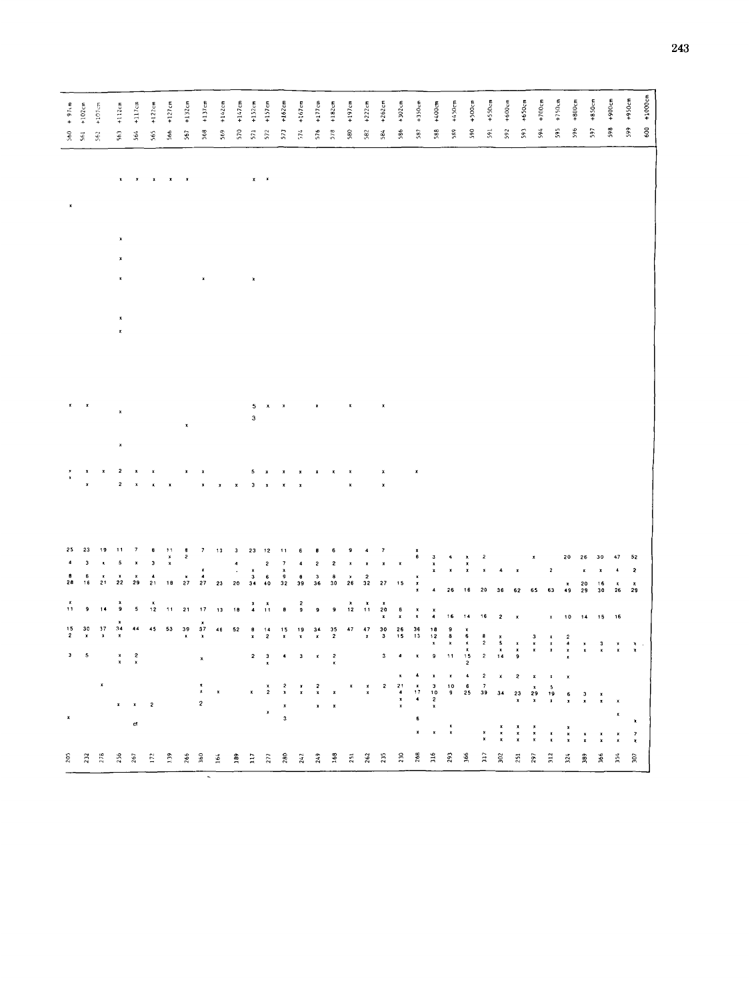| $+ 976$<br>560          | $+102cm$<br>$\tilde{\mathbf{s}}$ | $+107\,\mathrm{cm}$<br>$562\,$ | $+112cm$<br>563         | $+117cm$<br>564 | $+122cm$<br>565                                                                                                                                                                                                                                                                                                                                                                     | $+127cm$<br>$566$              | $+132cm$<br>567 | $+137cm$<br>568         | 569 $+142cm$                                                                                                                                                                      | $+147cm$<br>570 | $+152cm$<br>$\tilde{\mathbb{R}}$                | $+157cm$<br>572                        | $+162cm$<br>573                             | $+167cm$<br>574                         | $+177cm$<br>576    | $+182cm$<br>578                                | $+197cm$<br>580    | 582 +222cm     | $+262cm$<br>584                        | $586 + 302cm$                                      | 587 +350cm                | 588 +400cm                       | 589 $+450cm$                   | $+500cm$<br>590                            | $+550cm$<br>$591\,$                                               | 592 +600cm                                       | 593 +650cm          | 594 $+700cm$                               | $+750cm$<br>595                             |                                                   | $+800c$ m<br>596 | +850cm<br>597   | 598 +900cm                    | +950cm<br>599      | 600 +1000cm |
|-------------------------|----------------------------------|--------------------------------|-------------------------|-----------------|-------------------------------------------------------------------------------------------------------------------------------------------------------------------------------------------------------------------------------------------------------------------------------------------------------------------------------------------------------------------------------------|--------------------------------|-----------------|-------------------------|-----------------------------------------------------------------------------------------------------------------------------------------------------------------------------------|-----------------|-------------------------------------------------|----------------------------------------|---------------------------------------------|-----------------------------------------|--------------------|------------------------------------------------|--------------------|----------------|----------------------------------------|----------------------------------------------------|---------------------------|----------------------------------|--------------------------------|--------------------------------------------|-------------------------------------------------------------------|--------------------------------------------------|---------------------|--------------------------------------------|---------------------------------------------|---------------------------------------------------|------------------|-----------------|-------------------------------|--------------------|-------------|
|                         |                                  |                                |                         |                 |                                                                                                                                                                                                                                                                                                                                                                                     |                                |                 |                         |                                                                                                                                                                                   |                 |                                                 |                                        |                                             |                                         |                    |                                                |                    |                |                                        |                                                    |                           |                                  |                                |                                            |                                                                   |                                                  |                     |                                            |                                             |                                                   |                  |                 |                               |                    |             |
|                         |                                  |                                |                         |                 |                                                                                                                                                                                                                                                                                                                                                                                     |                                |                 | $\pmb{\mathsf{x}}$      |                                                                                                                                                                                   |                 | $\pmb{\times}$                                  |                                        |                                             |                                         |                    |                                                |                    |                |                                        |                                                    |                           |                                  |                                |                                            |                                                                   |                                                  |                     |                                            |                                             |                                                   |                  |                 |                               |                    |             |
|                         |                                  |                                | x<br>$\pmb{\mathsf{x}}$ |                 |                                                                                                                                                                                                                                                                                                                                                                                     |                                |                 |                         |                                                                                                                                                                                   |                 |                                                 |                                        |                                             |                                         |                    |                                                |                    |                |                                        |                                                    |                           |                                  |                                |                                            |                                                                   |                                                  |                     |                                            |                                             |                                                   |                  |                 |                               |                    |             |
|                         |                                  |                                | $\pmb{\mathsf{x}}$      |                 |                                                                                                                                                                                                                                                                                                                                                                                     |                                | $\pmb{\kappa}$  |                         |                                                                                                                                                                                   |                 | 5<br>3                                          |                                        |                                             |                                         |                    |                                                | $\pmb{\mathsf{x}}$ |                |                                        |                                                    |                           |                                  |                                |                                            |                                                                   |                                                  |                     |                                            |                                             |                                                   |                  |                 |                               |                    |             |
|                         |                                  |                                | 2<br>2                  |                 | $\pmb{x}$<br>$\pmb{\varkappa}$                                                                                                                                                                                                                                                                                                                                                      | $\mathbf{x}$                   |                 | ×<br>$\pmb{\times}$     | $\pmb{\mathsf{x}}$                                                                                                                                                                | $\mathbf{x}$    | 5<br>$3 - x$                                    | $\boldsymbol{\mathsf{x}}$              | ×<br>$\pmb{\mathrm{x}}$                     | $\pmb{\mathsf{x}}$                      |                    |                                                | $\pmb{\chi}$       |                | x<br>$\pmb{\mathsf{x}}$                |                                                    | $\pmb{\mathrm{x}}$        |                                  |                                |                                            |                                                                   |                                                  |                     |                                            |                                             |                                                   |                  |                 |                               |                    |             |
|                         |                                  |                                |                         |                 |                                                                                                                                                                                                                                                                                                                                                                                     |                                | $\frac{a}{2}$   |                         |                                                                                                                                                                                   |                 |                                                 |                                        |                                             | $\overline{\phantom{a}}$                |                    | 6                                              |                    |                |                                        |                                                    |                           |                                  |                                |                                            |                                                                   |                                                  |                     |                                            |                                             |                                                   |                  |                 |                               |                    |             |
|                         |                                  | $\pmb{\mathrm{x}}$             | 5                       |                 | в<br>Э                                                                                                                                                                                                                                                                                                                                                                              | $\frac{11}{x}$                 |                 |                         | $\begin{array}{ccccccccc}\n7 & 13 & 3 & 23 & 12 \\  & & 4 & & 2 \\ \text{x} & & \cdot & \times & & \\ \text{4} & & 3 & 6 & & \\ \text{27} & 23 & 20 & 34 & 40 & & \\ \end{array}$ |                 |                                                 |                                        | $\frac{11}{7}$ $\frac{7}{9}$ $\frac{8}{32}$ | $\ddot{\phantom{a}}$                    | 2                  | $\mathbf{2}$                                   |                    |                | $\frac{7}{x}$                          | ×                                                  | $\frac{x}{6}$             | $\frac{3}{x}$                    | $\frac{4}{x}$                  | $x \times$                                 | $\boldsymbol{2}$                                                  | $\overline{\mathbf{A}}$                          |                     | $\pmb{\mathsf{x}}$                         | 2                                           | 20                                                | 26               | 30              | 47                            | 52                 |             |
| 28                      | 6<br>16                          | $\frac{x}{21}$                 | $\frac{x}{22}$          | $\frac{x}{29}$  | $\begin{array}{c} 4 \\ 21 \end{array}$                                                                                                                                                                                                                                                                                                                                              | 18                             | $\frac{x}{27}$  |                         |                                                                                                                                                                                   |                 |                                                 |                                        |                                             | $\frac{0}{39}$                          | $\frac{3}{36}$     | $\begin{smallmatrix} 0 \ 30 \end{smallmatrix}$ | $\frac{9}{26}$     | $\frac{2}{32}$ | 27                                     | 15                                                 | $x \times x$              | $\overline{\phantom{a}}$         | 26                             | 16                                         | 20                                                                | 36                                               | 62                  | 65                                         | 63                                          | $\frac{x}{49}$                                    | 20<br>29         | $\frac{16}{30}$ | $\frac{x}{26}$                | $\frac{3}{29}$     |             |
| 11                      |                                  |                                | ۊ                       | 5               | $\frac{x}{12}$                                                                                                                                                                                                                                                                                                                                                                      | $\pmb{\uparrow}\pmb{\uparrow}$ | $\mathbf{21}$   | 17                      | 13                                                                                                                                                                                | 10              | $\begin{array}{cc} x & x \\ 4 & 11 \end{array}$ |                                        | 8                                           | 2<br>و                                  |                    | 9                                              | $\frac{x}{12}$     |                | $x^*$                                  | $\frac{6}{x}$                                      |                           | ×<br>4                           | 16                             | $\bf 14$                                   | $16$                                                              | $\boldsymbol{2}$                                 | $\pmb{\mathsf{x}}$  |                                            |                                             | 10                                                | 14               | 15              | 16                            |                    |             |
| $\frac{15}{2}$          | $\frac{30}{x}$                   | $\frac{37}{x}$                 | $\frac{34}{x}$          |                 | 45                                                                                                                                                                                                                                                                                                                                                                                  | 53                             | $\frac{39}{5}$  | $\frac{37}{x}$          | $\bf 46$                                                                                                                                                                          | 52              | $\frac{\mathbf{B}}{\mathbf{x}}$                 | $\begin{array}{c} 14 \\ 2 \end{array}$ | $\frac{15}{x}$                              | $\begin{array}{c} 1.9 \\ x \end{array}$ | $\frac{34}{x}$     | $\frac{35}{2}$                                 | 47                 | $\frac{47}{x}$ | $\begin{array}{c} 30 \\ 3 \end{array}$ | $\begin{array}{c} 26 \\ 15 \end{array}$            | 36<br>13                  | $\frac{18}{12}$                  | $x = 9$                        | $x$ 6 $x$ $x$ $x$ 15 2                     | $\begin{array}{c} a \\ 2 \\ 2 \end{array}$                        | $\begin{array}{c} x \\ 5 \\ x \\ 14 \end{array}$ | x x <sub>0</sub>    | $\frac{3}{x}$                              | x x                                         | $\begin{array}{c}\n2 \\ 4 \\ x \\ x\n\end{array}$ | $\frac{x}{x}$    | $\frac{3}{x}$   | $\frac{\varkappa}{\varkappa}$ | $\frac{x}{x}$ .    |             |
| $\overline{\mathbf{3}}$ | 5                                |                                | $\frac{x}{x}$           | $\frac{2}{x}$   |                                                                                                                                                                                                                                                                                                                                                                                     |                                |                 | $\pmb{\mathsf{x}}$      |                                                                                                                                                                                   |                 | 2                                               | $\frac{3}{x}$                          | 4                                           | $\mathbf 3$                             | $\pmb{\mathsf{x}}$ | $\frac{2}{x}$                                  |                    |                | 3                                      |                                                    |                           | $\pmb{9}$                        | $\mathbf{H}$                   |                                            |                                                                   |                                                  |                     |                                            |                                             |                                                   |                  |                 |                               |                    |             |
|                         |                                  | $\pmb{\mathsf{x}}$             |                         |                 |                                                                                                                                                                                                                                                                                                                                                                                     |                                |                 | $\frac{\pi}{\pi}$       | $\pmb{\chi}$                                                                                                                                                                      |                 | $\pmb{\mathsf{x}}$                              | $\frac{x}{2}$                          | $\frac{3}{2}$                               | $\frac{y}{x}$                           | $\frac{2}{x}$      | ×                                              |                    | $\frac{x}{x}$  | 2                                      | $\begin{array}{c}\n21 \\ 4 \\ x \\ x\n\end{array}$ | $4$<br>$8$<br>$17$<br>$4$ | $x$<br>$3$<br>$10$<br>$2$<br>$x$ | $\pmb{\mathsf{x}}$<br>1 0<br>9 | $\spadesuit$<br>$\mathbf{6}$<br>${\bf 25}$ | $\overline{\mathbf{c}}$<br>$\begin{array}{c} 7 \\ 39 \end{array}$ | 34                                               | 2<br>$\frac{23}{x}$ | $\frac{x}{29}$                             | $\begin{array}{c} 5 \\ 19 \\ x \end{array}$ | $\frac{6}{3}$                                     | $\frac{3}{x}$    | $\frac{x}{x}$   |                               |                    |             |
|                         |                                  |                                | x                       |                 | $\mathbf{2}% ^{2}=\mathbf{2}^{2}+\mathbf{1}^{2}+\mathbf{1}^{2}+\mathbf{1}^{2}+\mathbf{1}^{2}+\mathbf{1}^{2}+\mathbf{1}^{2}+\mathbf{1}^{2}+\mathbf{1}^{2}+\mathbf{1}^{2}+\mathbf{1}^{2}+\mathbf{1}^{2}+\mathbf{1}^{2}+\mathbf{1}^{2}+\mathbf{1}^{2}+\mathbf{1}^{2}+\mathbf{1}^{2}+\mathbf{1}^{2}+\mathbf{1}^{2}+\mathbf{1}^{2}+\mathbf{1}^{2}+\mathbf{1}^{2}+\mathbf{1}^{2}+\mathbf$ |                                |                 | $\overline{\mathbf{c}}$ |                                                                                                                                                                                   |                 |                                                 | $\mathbf{x}$                           | $\begin{array}{c} x \\ 3 \end{array}$       |                                         | $\pmb{\ast}$       | $\pmb{\mathsf{x}}$                             |                    |                |                                        |                                                    |                           |                                  |                                |                                            |                                                                   |                                                  |                     |                                            |                                             |                                                   |                  |                 |                               | $\pmb{\mathrm{x}}$ |             |
|                         |                                  |                                |                         | đ               |                                                                                                                                                                                                                                                                                                                                                                                     |                                |                 |                         |                                                                                                                                                                                   |                 |                                                 |                                        |                                             |                                         |                    |                                                |                    |                |                                        |                                                    | x                         | $\pmb{\mathsf{x}}$               | $\frac{x}{x}$                  |                                            | $\frac{1}{1}$                                                     | x x                                              | $\frac{1}{x}$       | $\begin{array}{c} x \\ x \\ y \end{array}$ | $\frac{x}{x}$                               | $\frac{x}{x}$                                     | $\frac{x}{x}$    |                 |                               | $\frac{7}{3}$      |             |
| $205$                   | 232                              | 278                            | 256                     | 267             | 172                                                                                                                                                                                                                                                                                                                                                                                 | 139                            | 266             | 360                     | 164                                                                                                                                                                               | 389             | Ξ                                               | 277                                    | 280                                         | 242                                     | 249                | 168                                            | 251                | 262            | 235                                    | 230                                                | 268                       | 316                              | 293                            | 366                                        | $\mathfrak{m}$                                                    | 302                                              | 251                 | 297                                        | 312                                         | 324                                               | 389              | 366             | 354                           | 307                |             |

ζ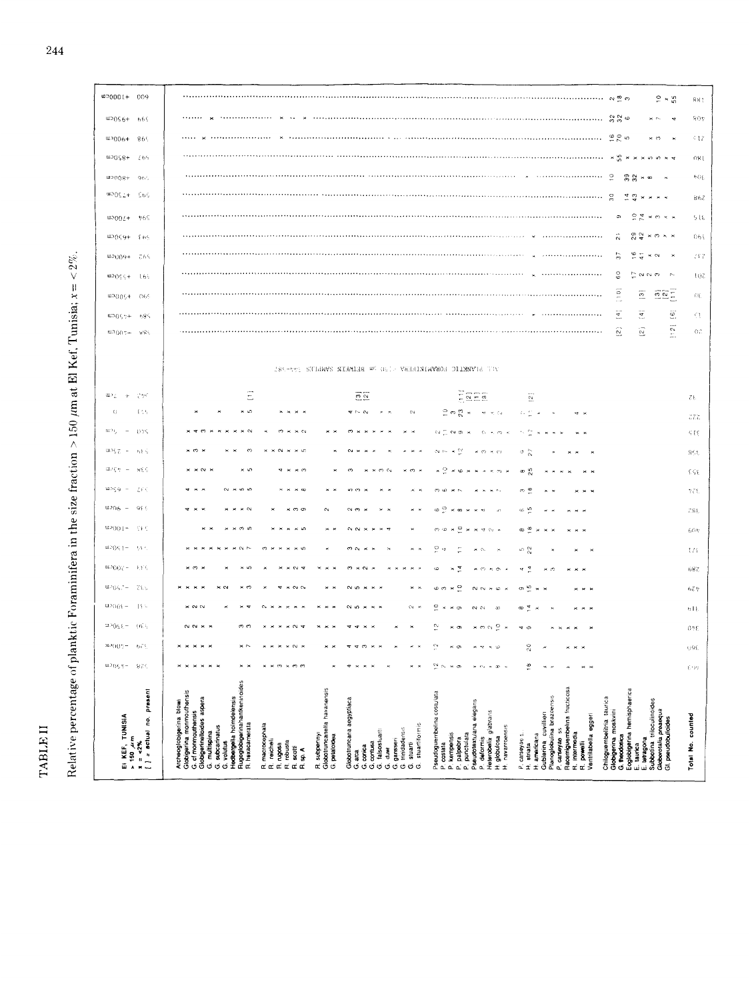$\operatorname{TABLE}$   $\amalg$ 

Relative percentage of planktic Foraminifera in the size fraction > 150  $\mu$ m at El Kef, Tunisia;  $x = < 2\%$ .

| @0001+ 009                             |                              | $2 \times 5$                                                                                                                                                                                                                                                                                                                                                                                                                                                                                                                                                                                                                                                                   | 881                |
|----------------------------------------|------------------------------|--------------------------------------------------------------------------------------------------------------------------------------------------------------------------------------------------------------------------------------------------------------------------------------------------------------------------------------------------------------------------------------------------------------------------------------------------------------------------------------------------------------------------------------------------------------------------------------------------------------------------------------------------------------------------------|--------------------|
| $4920c$ m                              | - 669                        | 3300<br>sc. by<br><b>v</b>                                                                                                                                                                                                                                                                                                                                                                                                                                                                                                                                                                                                                                                     | 90t                |
| w3006+                                 | 86%                          | × n                                                                                                                                                                                                                                                                                                                                                                                                                                                                                                                                                                                                                                                                            | 517                |
| $42068+$                               | 265                          | $*55$<br>$\boldsymbol{\times}$                                                                                                                                                                                                                                                                                                                                                                                                                                                                                                                                                                                                                                                 | 081                |
| 4900                                   | 960                          | $\frac{1}{2}$<br>39<br>$_{32}^{\circ}$<br>$\infty$<br>×                                                                                                                                                                                                                                                                                                                                                                                                                                                                                                                                                                                                                        | hQE.               |
| $+220$ cm                              | <b>Sos</b>                   | $\frac{4}{4}$ $\frac{4}{9}$<br>$\tilde{\phantom{a}}$                                                                                                                                                                                                                                                                                                                                                                                                                                                                                                                                                                                                                           | 862                |
| $^{41000}$                             | 765                          | $\tilde{c}$<br>$\sigma$<br>$\frac{1}{4}$<br>$\approx$ $\approx$                                                                                                                                                                                                                                                                                                                                                                                                                                                                                                                                                                                                                | 516                |
| $0.969 +$                              | $\{10\}$                     | $\tilde{\sim}$<br>$\frac{2}{9}$<br>42<br>$\omega\,\times\,\infty$                                                                                                                                                                                                                                                                                                                                                                                                                                                                                                                                                                                                              | $064$              |
| $40004 +$                              | - 765                        | 5<br>ە<br>Ç<br>$\sim$<br>$\boldsymbol{\times}$                                                                                                                                                                                                                                                                                                                                                                                                                                                                                                                                                                                                                                 | 287                |
| mpOčć+                                 | 165                          | $\frac{6}{9}$<br>$\mathbb{N}$<br>t<br>$\sigma$<br>$^{d}$                                                                                                                                                                                                                                                                                                                                                                                                                                                                                                                                                                                                                       | $10\,\rm Z$        |
| <b>WD0054</b>                          | $-065$                       | $\begin{bmatrix} 0 \\ 1 \end{bmatrix}$<br>$\begin{tabular}{ c c } \hline \hline \rule{0pt}{3ex} $\alpha$ & $\beta$ \\ \hline \rule{0pt}{3ex} $\alpha$ & $\beta$ \\ \hline \rule{0pt}{3ex} $\alpha$ & $\beta$ \\ \hline \rule{0pt}{3ex} $\alpha$ & $\beta$ \\ \hline \rule{0pt}{3ex} $\alpha$ & $\beta$ \\ \hline \rule{0pt}{3ex} $\alpha$ & $\beta$ \\ \hline \rule{0pt}{3ex} $\alpha$ & $\beta$ \\ \hline \rule{0pt}{3ex} $\alpha$ & $\beta$ \\ \hline \rule{0pt}{3ex} $\alpha$ & $\beta$ \\ \hline \rule{0pt}{3ex} $\alpha$ & $\beta$ \\ \hline \rule$<br>$\overline{\mathfrak{D}}$                                                                                          | $\Omega_{\rm b}$   |
| <b>00057+</b>                          | $68\%$                       | $\overline{4}$<br>$\overline{\overline{z}}$<br>$\overline{\mathcal{Q}}$                                                                                                                                                                                                                                                                                                                                                                                                                                                                                                                                                                                                        | $\in \mathfrak{t}$ |
| യ3()()≑÷                               | si Sis                       | $\overline{\Omega}$<br>$\Xi$<br>$\widehat{\mathbb{E}}$                                                                                                                                                                                                                                                                                                                                                                                                                                                                                                                                                                                                                         | or.                |
|                                        |                              |                                                                                                                                                                                                                                                                                                                                                                                                                                                                                                                                                                                                                                                                                |                    |
|                                        |                              | 285-992 STIGWYS NIGMIER WG OSI - VARRINIAVNOS DILMNYRE THY                                                                                                                                                                                                                                                                                                                                                                                                                                                                                                                                                                                                                     |                    |
| $\mathfrak{u}$ . $_1$<br>$\pm$         | 79C                          | E<br>Eper<br>$\overline{2}\overline{2}$<br>$\frac{1}{2}$                                                                                                                                                                                                                                                                                                                                                                                                                                                                                                                                                                                                                       | 75.                |
| $C_{i}$                                | [ 1, 0]                      | ×ю<br>$\overline{a}$<br>$1 - 0$<br>N<br>ై ల<br>$\tilde{c}$<br>o p                                                                                                                                                                                                                                                                                                                                                                                                                                                                                                                                                                                                              | 377                |
| œ>ç<br>$\overline{\phantom{a}}$        | 075                          | $\sim$<br>分型<br>¢4<br>$\alpha$ a<br>ċ.<br>$\mathcal{O}_{\mathcal{R}}$<br>- 24                                                                                                                                                                                                                                                                                                                                                                                                                                                                                                                                                                                                  | 518                |
| <b>91.56 Z</b>                         | 网络区                          | $\sigma \gtrsim$<br>$\sim$ $\sim$<br>$\infty$                                                                                                                                                                                                                                                                                                                                                                                                                                                                                                                                                                                                                                  | 855                |
| avce<br>$\sim$                         | <b>MEC</b>                   | 2<br>$\frac{a}{2}$<br>œ                                                                                                                                                                                                                                                                                                                                                                                                                                                                                                                                                                                                                                                        | 698                |
| u⊃çg<br>$\overline{\phantom{a}}$       | LS<                          | ത ഇ<br>$\sim$                                                                                                                                                                                                                                                                                                                                                                                                                                                                                                                                                                                                                                                                  | 775                |
| w∍n6 –                                 | $-95.5$                      | ه ه<br>േഴ<br>$\sim$<br>്ത<br>$\infty$<br>ø                                                                                                                                                                                                                                                                                                                                                                                                                                                                                                                                                                                                                                     | 284                |
| $-1()()$ CDJ                           | – ⊂≱ €                       | 00.40<br>P<br>∞ ≌<br>$\sim$<br>$\sim$ $\sim$                                                                                                                                                                                                                                                                                                                                                                                                                                                                                                                                                                                                                                   | 60n                |
| $\pi_D(\ell) \in I$ =                  | -55.5                        | o<br>o N                                                                                                                                                                                                                                                                                                                                                                                                                                                                                                                                                                                                                                                                       | 1/4                |
| $44.50(67 -$                           | $\S, \S$ (                   | $\frac{a}{b}$<br>q,<br>$\alpha$<br>Ó                                                                                                                                                                                                                                                                                                                                                                                                                                                                                                                                                                                                                                           | 687                |
| m5067-                                 | 765                          | q<br>ю<br>G)                                                                                                                                                                                                                                                                                                                                                                                                                                                                                                                                                                                                                                                                   | 624                |
| $-\gamma_{\rm OCD}$ .                  | $11 -$                       | ă<br>ی ∞<br>ø<br>$\sim$                                                                                                                                                                                                                                                                                                                                                                                                                                                                                                                                                                                                                                                        | 61                 |
| $-320$                                 | ાદર                          | $\sim$<br>$\overline{\phantom{0}}$<br>n e<br>ግ ወ<br>$\sigma$                                                                                                                                                                                                                                                                                                                                                                                                                                                                                                                                                                                                                   | 0.56               |
| $37900 -$                              | 0<                           | 20                                                                                                                                                                                                                                                                                                                                                                                                                                                                                                                                                                                                                                                                             | 698                |
| $0.3(35 +$                             | RZS.                         | ≝                                                                                                                                                                                                                                                                                                                                                                                                                                                                                                                                                                                                                                                                              | 307                |
|                                        | $[$ $]$ = actual no. present | H <b>edberge</b> lla holmdelensis<br>Ru <mark>goglobige</mark> rinahantkeninoides<br>R. hexacamerata<br>R <b>acemiguembe</b> lina fructicosa<br>R. i <b>ntermedia</b><br>R. subpennyi<br>Globotruncanella havanensis<br>Eoglobigerina hemisphaerica<br>E. taurica<br>Archeoglobigerina blowi<br>Globigerina monmouthensis<br>Pseudoguembelina costulata<br>Globigerinelloides aspera<br>Gublerina cuvillieri<br>Planoglobulina brazoensis<br>Chiloguembelitria taurica<br>Globotruncana aegyptiaca<br>E. letragona<br>Subbotina triloculinoides<br>Globorotalia preaequa<br>Gl. pseudobulloides<br>Pseudotextularia elegans<br>cf monmouthensis                                |                    |
| EI KEF, TUNISIA<br>> 150 µm<br>¤ = <2% |                              | Globigerina moskvini<br>P. deformis<br>Heterobelix glabrans<br>Ventrilabella eggeri<br>stuartiformis<br>macrocephala<br>subcarinatus<br>navarroensis<br>trinidadensis<br>carseyae ss<br>falsosluart:<br>multispina<br>kempensis<br>carseyae s.<br>punctulata<br>americana<br>G. theodosica<br>petaloidea<br>globulosa<br>palpebra<br>gansseri<br>reicheli<br>volutus<br>robusta<br>scotti<br>contues<br>powelli<br>stuarti<br>ngosa<br>costata<br>striata<br>conica<br>\$<br>a⊱<br>duw<br>arca<br>Ġ<br>Ġ<br>Ġ<br>Ġ<br>œ<br>œ<br>Œ.<br>œ<br>œ<br>Q,<br>Ó<br>Ó<br>Ġ<br>ø<br>Ö<br>ö<br>Ġ<br>ø<br>± ±<br>$\vec{\alpha}$ if<br>œ<br>Ġ<br>œ<br>۵Ĺ<br>$\alpha$<br>Ŧ<br>نه<br>a.<br>n. | Total No. counted  |

244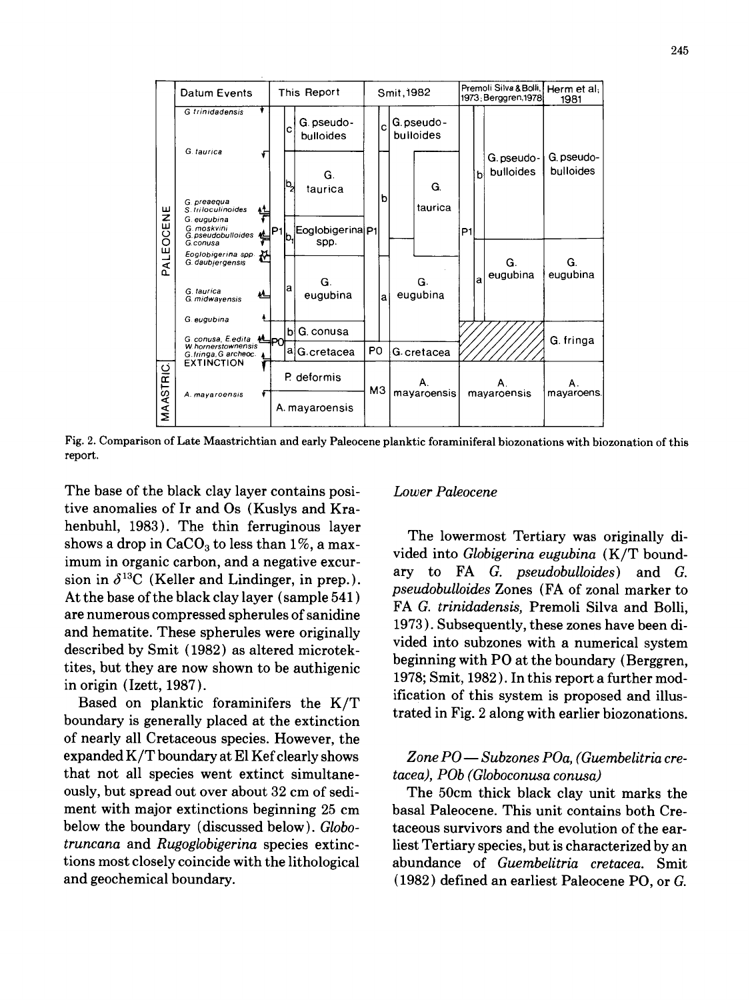

Fig. 2. Comparison of Late Maastrichtian and early Paleocene planktic foraminiferal biozonations with biozonation of this report.

The base of the black clay layer contains posi- *Lower Paleocene*  tive anomalies of Ir and Os (Kuslys and Krahenbuhl, 1983). The thin ferruginous layer<br>The lowermost Tertiary was originally dishows a drop in  $CaCO<sub>3</sub>$  to less than 1%, a maximum in organic carbon, and a negative excur-<br>imum in organic carbon, and a negative excur-<br>imum in  $\frac{1}{2}$  ary to FA *G. pseudobulloides*) and *G.* sion in  $\delta^{13}$ C (Keller and Lindinger, in prep.). ary to FA *G. pseudobulloides*) and G.<br>*pseudobulloides* Zones (FA of zonal marker to At the base of the black clay layer (sample 541) are numerous compressed spherules of sanidine and hematite. These spherules were originally<br>ded into subzones with a numerical system<br>decaribed by Smit (1989) as altered without vided into subzones with a numerical system described by Smit (1982) as altered microtektites, but they are now shown to be authigenic beginning with PO at the boundary (Berggren,

boundary is generally placed at the extinction of nearly all Cretaceous species. However, the expanded K/T boundary at E1 Kef clearly shows *Zone PO ~ Subzones POa, (Guembelitria cre*that not all species went extinct simultane- *tacea), POb (Globoconusa conusa)*  ously, but spread out over about 32 cm of sedi- The 50cm thick black clay unit marks the ment with major extinctions beginning 25 cm basal Paleocene. This unit contains both Crebelow the boundary (discussed below). *Globo-* taceous survivors and the evolution of the ear*truncana* and *Rugoglobigerina* species extinc- liest Tertiary species, but is characterized by an tions most closely coincide with the lithological abundance of *Guembelitria cretacea.* Smit

FAG. *trinidadensis,* Premoli Silva and Bolli, 1973 ). Subsequently, these zones have been diin origin (Izett, 1987).<br>  $\frac{1978}{2560}$ ; Smit, 1982). In this report a further mod-<br>  $\frac{1978}{2560}$ ; Smit, 1982). In this report a further mod-<br>
ification of this system is proposed and illus-Based on planktic foraminifers the  $K/T$  and induced on planktic foraminifers the  $K/T$  trated in Fig. 2 along with earlier biozonations.

and geochemical boundary. (1982) defined an earliest Paleocene PO, or G.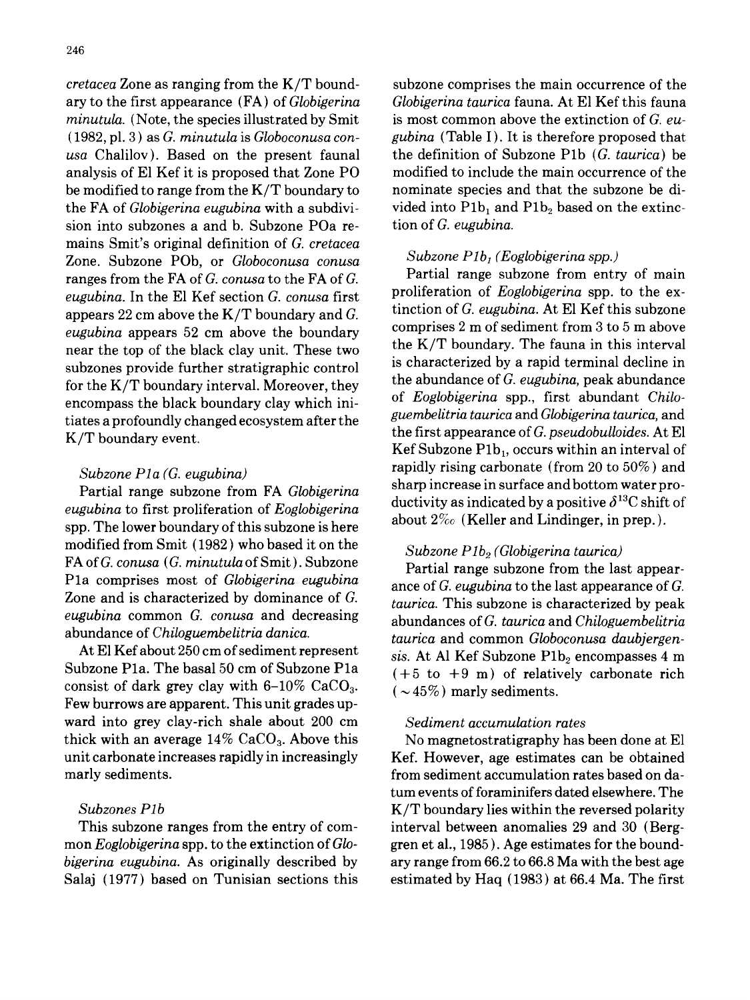ary to the first appearance (FA) of *Globigerina Globigerina taurica* fauna. At E1 Kef this fauna *minutula.* (Note, the species illustrated by Smit is most common above the extinction of *G. eu usa* Chalilov). Based on the present faunal the definition of Subzone Plb *(G. taurica)* be analysis of E1 Kef it is proposed that Zone PO modified to include the main occurrence of the be modified to range from the  $K/T$  boundary to nominate species and that the subzone be dithe FA of *Globigerina eugubina* with a subdivi- vided into P1b<sub>1</sub> and P1b<sub>2</sub> based on the extincsion into subzones a and b. Subzone POa re- tion of *G. eugubina.*  mains Smit's original definition of *G. cretacea Subzone*. Subzone POb, or *Globoconusa conusa Subzone P1b<sub>1</sub> (Eoglobigerina spp.)*<br> **Partial range subzone from entry of main**<br> **Partial range subzone from entry of main** ranges from the FA of *G. conusa* to the FA of *G.* Partial range subzone from entry of main<br>qualities In the FI Kef section *G* conuse first proliferation of Eoglobigerina spp. to the ex*eugubina.* In the E1 Kef section *G. conusa* first proliferation of *Eoglobigerina* spp. to the exappears 22 cm above the K/T boundary and  $G$ . tinction of  $G$ . *eugubina*. At E1 Kef this subzone<br>augubing appears 52 cm above the boundary comprises 2 m of sediment from 3 to 5 m above *eugubina* appears 52 cm above the boundary comprises 2 m of sediment from 3 to 5 m above<br>near the top of the black clay unit. These two the K/T boundary. The fauna in this interval near the top of the black clay unit. These two the  $K/T$  boundary. The fauna in this interval<br>subzones provide further stratigraphic control is characterized by a rapid terminal decline in subzones provide further stratigraphic control is characterized by a rapid terminal decline in<br> $f_{\text{on the}}$  is characterized by a rapid terminal decline in for the K/T boundary interval. Moreover, they the abundance of *G. eugubina*, peak abundance<br>organization of *Eoglobigerina* spp., first abundant *Chilo*encompass the black boundary clay which ini-<br>tistes a profoundly shaped accuration ofter the *guembelitric taurica* and *Globigerina taurica*, and tiates a profoundly changed ecosystem after the K/T boundary event, the first appearance of *G. pseudobuUoides.* At E1

*eugubina* to first proliferation of *Eoglobigerina* spp. The lower boundary of this subzone is here modified from Smit (1982) who based it on the *Subzone P1b<sub>2</sub> (Globigerina taurica)*<br>FA of *G. conusa (G. minutula* of Smit). Subzone **position** represent the local representation of the local representation of the local r FA of G. *conusa* (G. *minutum* of Smit). Subzone Partial range subzone from the last appear-<br>P1a comprises most of Globigerina eugubina appeared C. *sugubing* to the lest appearance of C. Pla comprises most of *Globigerina eugubina* ance of *G. eugubina* to the last appearance of G. zone and is characterized by dominance of *G.* taurica. This subzone is characterized by peak<br>eugubina common *G. conusa* and decreasing shundances of *G. taurica* and *Chiloguamhelitric eugubina* common *G. conusa* and decreasing abundances of *G. taurica* and *Chiloguembelitria* 

At El Kef about 250 cm of sediment represent *sis.* At Al Kef Subzone P1b<sub>2</sub> encompasses 4 m<br>Subzone P1a. The basal 50 cm of Subzone P1a  $(1.5, 10, 10)$  of relatively carbonate right consist of dark grey clay with 6-10% CaCO<sub>3</sub>.  $( \sim 45\%)$  marly sediments. Few burrows are apparent. This unit grades upward into grey clay-rich shale about 200 cm *Sediment accumulation rates*  thick with an average  $14\%$  CaCO<sub>3</sub>. Above this No magnetostratigraphy has been done at El unit carbonate increases rapidly in increasingly Kef. However, age estimates can be obtained marly sediments, from sediment accumulation rates based on da-

mon *Eoglobigerina* spp. to the extinction of Glo-gren et al., 1985). Age estimates for the bound*bigerina eugubina.* As originally described by ary range from 66.2 to 66.8 Ma with the best age Salaj (1977) based on Tunisian sections this estimated by Haq (1983) at 66.4 Ma. The first

*cretacea* Zone as ranging from the K/T bound- subzone comprises the main occurrence of the ( 1982, pl. 3 ) as *G. minutula* is *Globoconusa con- gubina (Table* I ). It is therefore proposed that

Kef Subzone  $P1b_1$ , occurs within an interval of *Subzone Pla (G. eugubina)* **rapidly rising carbonate (from 20 to 50%) and** *Partial party of the Clatissing rapidly rising carbonate (from 20 to 50%) and* **<b>***Partial party of the Clatissing rapidly rising carbonat* Partial range subzone from FA *Globigerina* sharp increase in surface and bottom water pro-<br>ductivity as indicated by a positive  $\delta^{13}$ C shift of about  $2\%$  (Keller and Lindinger, in prep.).

vindance of *Chiloguembelitria danica.*<br>At El Kef about 250 cm of sediment represent and common *Globoconusa daubjergen-* $(+5$  to  $+9$  m) of relatively carbonate rich

tum events of foraminifers dated elsewhere. The Subzones P1b **K**/T boundary lies within the reversed polarity This subzone ranges from the entry of com- interval between anomalies 29 and 30 (Berg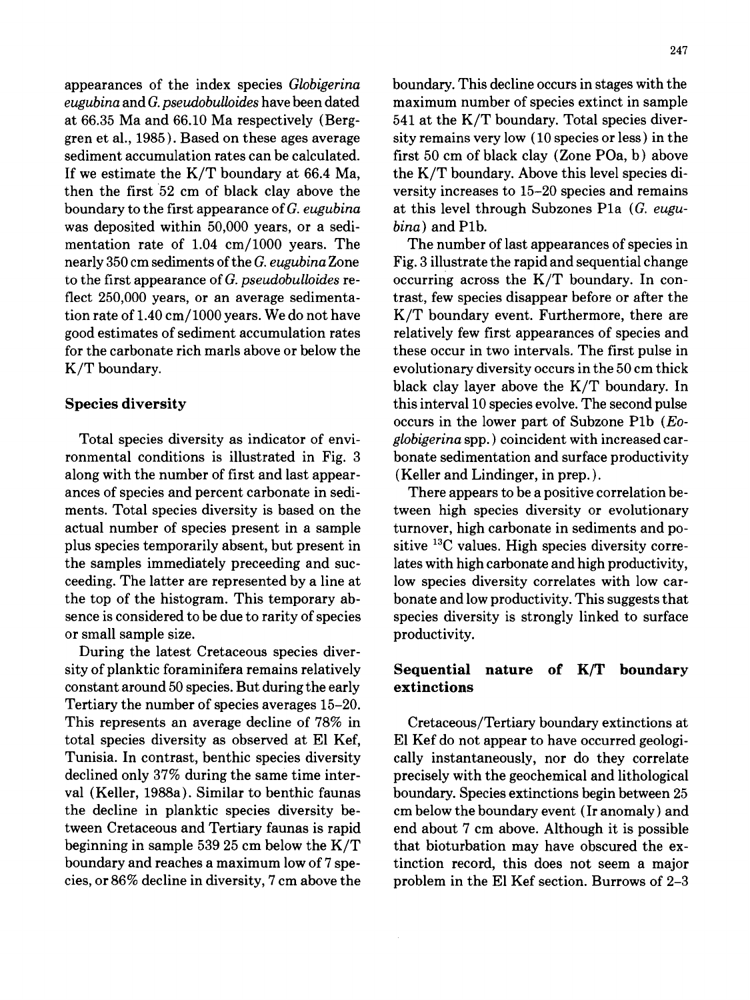*eugubina* and *G. pseudobulloides* have been dated maximum number of species extinct in sample at 66.35 Ma and 66.10 Ma respectively (Berg- 541 at the K/T boundary. Total species diverat  $66.35$  Ma and  $66.10$  Ma respectively (Berggren et al., 1985). Based on these ages average sity remains very low  $(10 \text{ species or less})$  in the sediment accumulation rates can be calculated, first 50 cm of black clay (Zone POa, b) above If we estimate the  $K/T$  boundary at 66.4 Ma, the  $K/T$  boundary. Above this level species dithen the first 52 cm of black clay above the versity increases to 15-20 species and remains boundary to the first appearance of *G. eugubina* at this level through Subzones P1a *(G. eugu*was deposited within 50,000 years, or a sedi- *bina)* and Plb. mentation rate of 1.04 cm/1000 years. The The number of last appearances of species in nearly 350 cm sediments of the *G. eugubina* Zone Fig. 3 illustrate the rapid and sequential change to the first appearance of *G. pseudobuUoides* re- occurring across the K/T boundary. In conflect 250,000 years, or an average sedimenta-<br>trast, few species disappear before or after the tion rate of  $1.40 \text{ cm}/1000 \text{ years}$ . We do not have K/T boundary event. Furthermore, there are good estimates of sediment accumulation rates relatively few first appearances of species and for the carbonate rich marls above or below the these occur in two intervals. The first pulse in K/T boundary, the same state of the second evolutionary diversity occurs in the 50 cm thick

ronmental conditions is illustrated in Fig. 3 bonate sedimentation and surface productivity along with the number of first and last appear- (Keller and Lindinger, in prep. ). ances of species and percent carbonate in sedi- There appears to be a positive correlation bements. Total species diversity is based on the tween high species diversity or evolutionary actual number of species present in a sample turnover, high carbonate in sediments and poplus species temporarily absent, but present in sitive  $13<sup>C</sup>$  values. High species diversity correthe samples immediately preceeding and suc- lates with high carbonate and high productivity, ceeding. The latter are represented by a line at low species diversity correlates with low carthe top of the histogram. This temporary ab- bonate and low productivity. This suggests that sence is considered to be due to rarity of species species diversity is strongly linked to surface or small sample size. productivity.

During the latest Cretaceous species diversity of planktic foraminifera remains relatively  $\qquad \qquad$  Sequential nature of K/T boundary constant around 50 species. But during the early  $\bullet$  **extinctions** Tertiary the number of species averages 15-20. This represents an average decline of 78% in Cretaceous/Tertiary boundary extinctions at total species diversity as observed at E1 Kef, E1 Kef do not appear to have occurred geologi-Tunisia. In contrast, benthic species diversity cally instantaneously, nor do they correlate declined only 37% during the same time inter- precisely with the geochemical and lithological val (Keller, 1988a). Similar to benthic faunas boundary. Species extinctions begin between 25 the decline in planktic species diversity be- cm below the boundary event (Ir anomaly) and tween Cretaceous and Tertiary faunas is rapid end about 7 cm above. Although it is possible beginning in sample 539 25 cm below the  $K/T$  that bioturbation may have obscured the exboundary and reaches a maximum low of 7 spe- tinction record, this does not seem a major cies, or 86% decline in diversity, 7 cm above the problem in the El Kef section. Burrows of 2-3

appearances of the index species *Globigerina* boundary. This decline occurs in stages with the

black clay layer above the K/T boundary. In Species diversity this interval 10 species evolve. The second pulse occurs in the lower part of Subzone Plb *(Eo-*Total species diversity as indicator of envi- *globigerina* spp. ) coincident with increased car-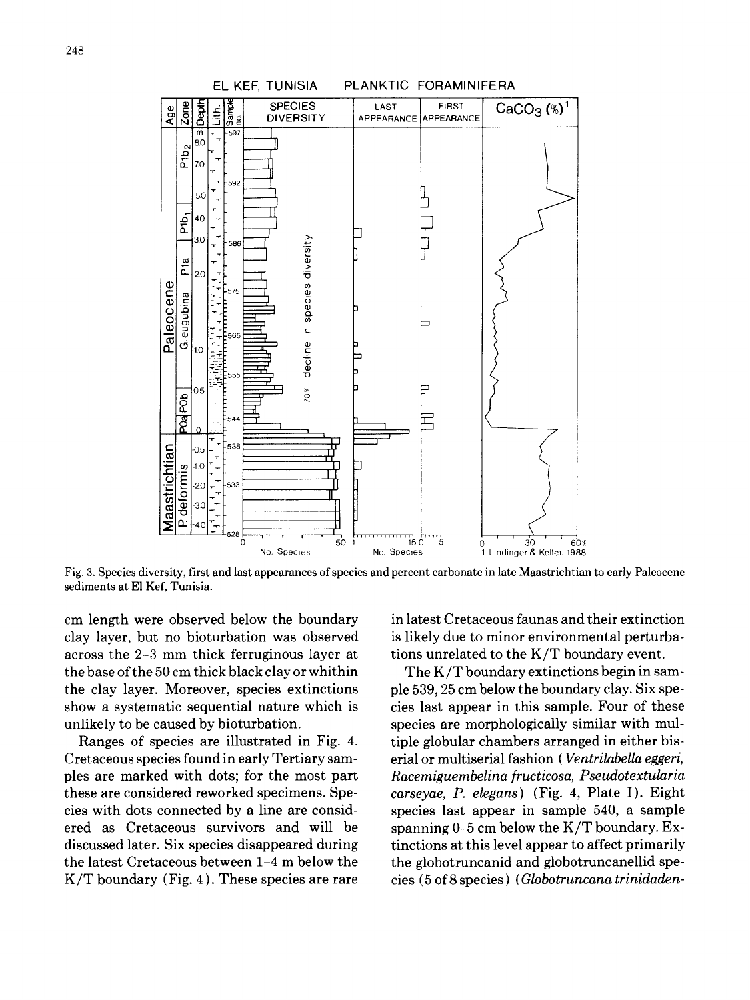

**Fig. 3. Species diversity, first and last appearances of species and percent carbonate in late Maastrichtian to early Paleocene sediments at El Kef, Tunisia.** 

**clay layer, but no bioturbation was observed is likely due to minor environmental perturbaacross the 2-3 mm thick ferruginous layer at tions unrelated to the K/T boundary event. the base of the 50 cm thick black clay or whithin The K/T boundary extinctions begin in samthe clay layer. Moreover, species extinctions ple 539, 25 cm below the boundary clay. Six speshow a systematic sequential nature which is cies last appear in this sample. Four of these**  unlikely to be caused by bioturbation. Species are morphologically similar with mul-

**Cretaceous species found in early Tertiary sam- erial or multiserial fashion (** *Ventrilabella eggeri,*  **ples are marked with dots; for the most part** *Racemiguembelina fructicosa, Pseudotextularia*  **these are considered reworked specimens. Spe-** *carseyae, P. elegans)* **(Fig. 4, Plate I). Eight cies with dots connected by a line are consid- species last appear in sample 540, a sample ered as Cretaceous survivors and will be spanning 0-5 cm below the K/T boundary. Exdiscussed later. Six species disappeared during tinctions at this level appear to affect primarily the latest Cretaceous between 1-4 m below the the globotruncanid and globotruncanellid spe-K/T boundary (Fig. 4 ). These species are rare cies (5 of 8 species) (Globotruncana** *trinidaden-* 

**cm length were observed below the boundary in latest Cretaceous faunas and their extinction** 

**Ranges of species are illustrated in Fig. 4. tiple globular chambers arranged in either bis-**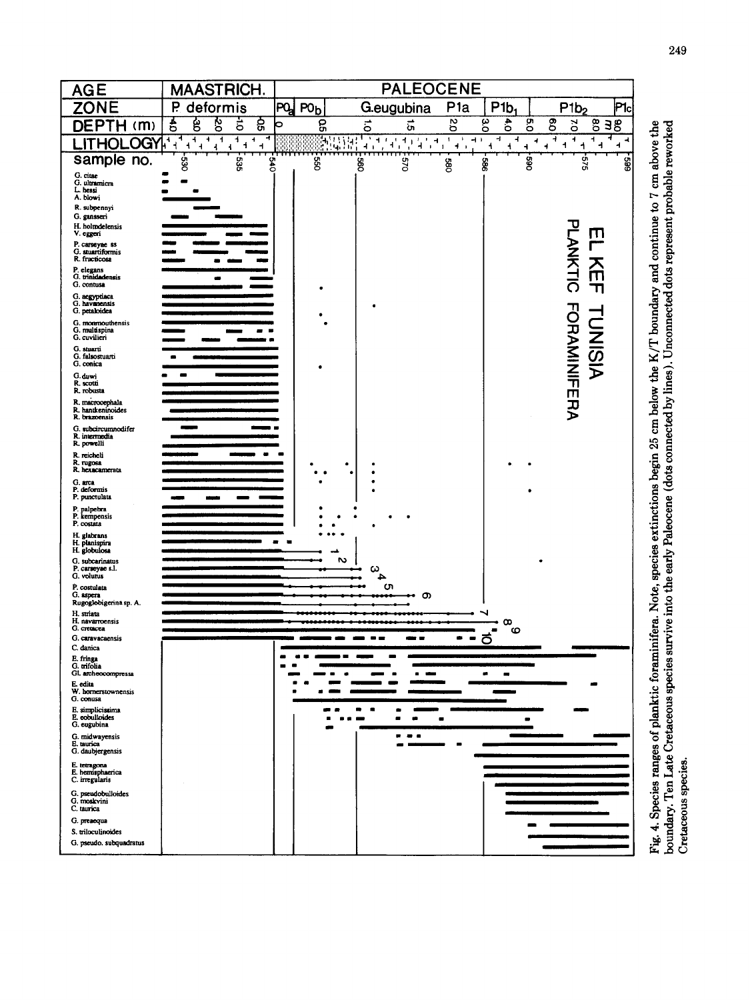

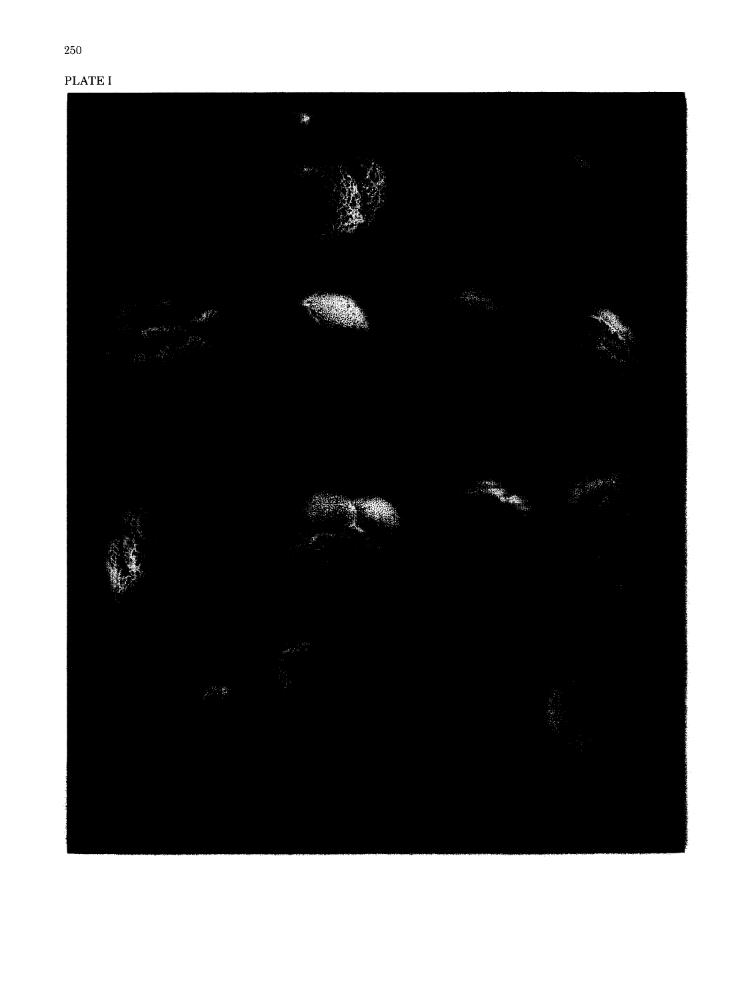# PLATEI

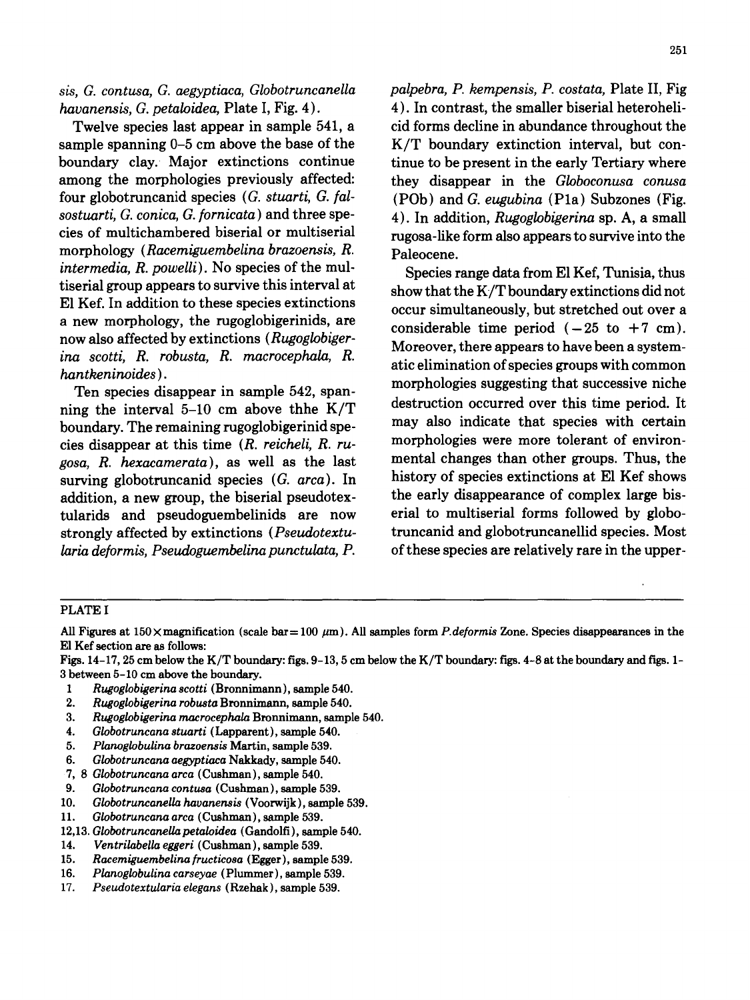*havanensis, G. petaloidea,* Plate I, Fig. 4). 4). In contrast, the smaller biserial heteroheli-

sample spanning  $0-5$  cm above the base of the K/T boundary extinction interval, but conboundary clay. Major extinctions continue tinue to be present in the early Tertiary where among the morphologies previously affected: they disappear in the *Globoconusa conusa*  four globotruncanid species *(G. stuarti, G. [al-* (POb) and *G. eugubina* (Pla) Subzones (Fig. *sostuarti, G. conica, G. fornicata)* and three spe- 4). In addition, *Rugoglobigerina* sp. A, a small morphology *(Racemiguembelina brazoensis, R.* Paleocene. *intermedia, R. powelli*). No species of the mul-<br>tiserial group appears to survive this interval at<br>charge that the K. Thoundary extinctions did not E1 Kef. In addition to these species extinctions a new morphology, the rugoglobigerinids, are<br>now also affected by extinctions ( $Rugoglobiger$ ). Measure there are expected by a surface *ina scotti, R. robusta, R. macrocephala, R. hantkeninoides*). *hantkeninoides*, *h. macroscprimes*, *h.* **atic elimination of species groups with common hantkeninoides**).

ning the interval 5-10 cm above thhe  $K/T$ boundary. The remaining rugoglobigerinid spe- may also indicate that species with certain cies disappear at this time *(R. reicheli, R. ru-* morphologies were more tolerant of environ*gosa, R. hexacamerata*), as well as the last mental changes than other groups. Thus, the<br>surving globotruncanid species (*G. arca*). In history of species extinctions at El Kef shows surving globotruncanid species (G. arca). In addition, a new group, the biserial pseudotex-<br>the early disappearance of complex large bistularids and pseudoguembelinids are now erial to multiserial forms followed by globostrongly affected by extinctions *(Pseudotextu-* truncanid and globotruncanellid species. Most *laria deformis, Pseudoguembelina punctulata, P.* of these species are relatively rare in the upper-

*sis, G. contusa, G. aegyptiaca, Globotruncanella palpebra, P. kempensis, P. costata,* Plate II, Fig Twelve species last appear in sample 541, a cid forms decline in abundance throughout the rugosa-like form also appears to survive into the

show that the K/T boundary extinctions did not occur simultaneously, but stretched out over a Moreover, there appears to have been a system-Ten species disappear in sample 542, span-<br>Ten species disappear in sample 542, span-<br> $\frac{10 \text{ cm}}{10 \text{ cm}}$  show that K/T destruction occurred over this time period. It

### PLATE I

All Figures at 150× magnification (scale bar= 100 #m). All samples form *P.deformis* Zone. Species disappearances in the El Kef section are as follows:

Figs. 14-17, 25 cm below the K/T boundary: figs. 9-13, 5 cm below the K/T boundary: figs. 4-8 at the boundary and figs. 1- 3 between 5-10 cm above the boundary.

- *1 Rugoglobigerina scotti* (Bronnimann), sample 540.
- *2. Rugoglobigerina robusta* Bronnimann, sample 540.
- *3. Rugoglobigerina macrocephala* Bronnimann, sample 540.
- *4. Globotruncana stuarti (Lapparent ),* sample 540.
- *5. Planoglobulina brazoensis* Martin, sample 539.
- *6. Globotruncana aegyptiaca* Nakkady, sample 540.
- 7, 8 *Globotruncana arca* (Cushman), sample 540.
- *9. Globotruncana contusa (Cushman),* sample 539.
- 10. *GlobotruncaneUa havanensis* (Voorwijk), sample 539.
- 11. *Globotruncana arca* (Cushman), sample 539.
- 12,13. *GlobotruncaneUapetaloidea* (Gandolfi), sample 540.
- 14. *Ventrilabella eggeri* (Cushman), sample 539.
- 15. *Racemiguembelina[ructicosa* **(Egger), sample** 539.
- 16. *Planoglobulina carseyae* (Plummer), sample 539.
- 17. *Pseudotextularia elegans* (Rzehak), sample 539.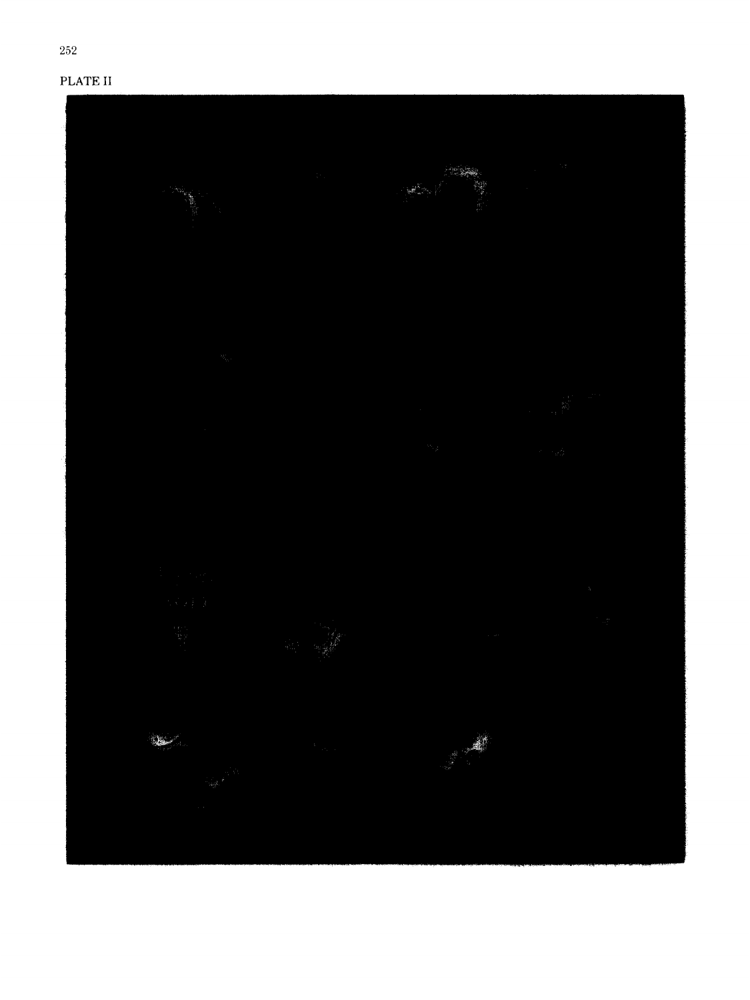# PLATE II

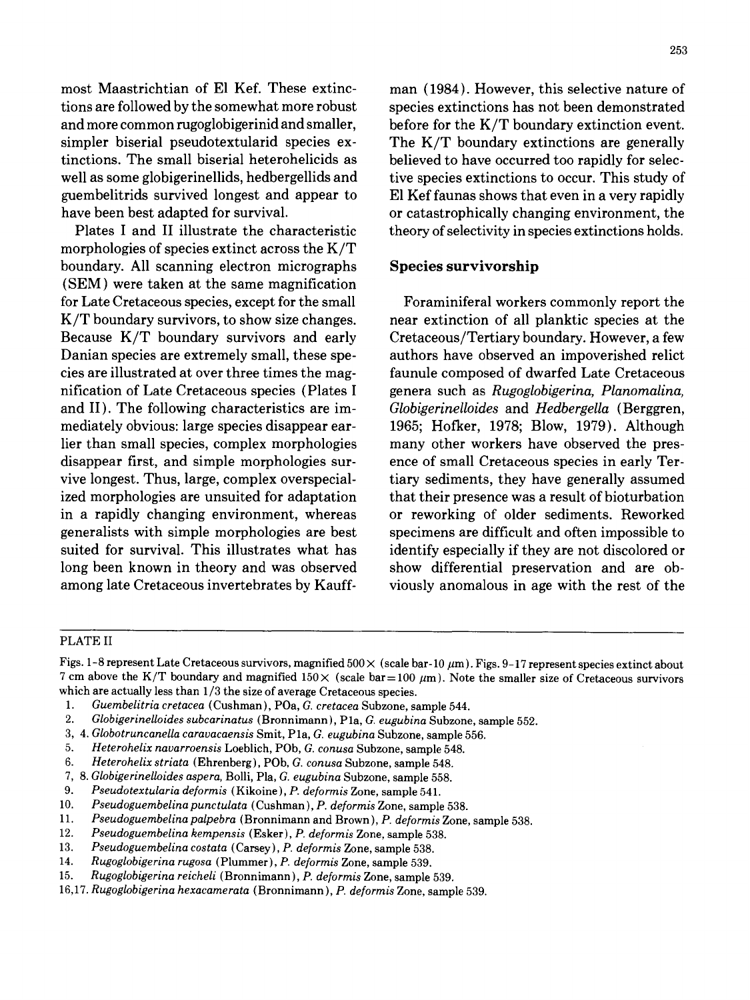most Maastrichtian of E1 Kef. These extinc- man (1984). However, this selective nature of tions are followed by the somewhat more robust species extinctions has not been demonstrated and more common rugoglobigerinid and smaller, before for the K/T boundary extinction event. simpler biserial pseudotextularid species ex- The K/T boundary extinctions are generally tinctions. The small biserial heterohelicids as believed to have occurred too rapidly for selecwell as some globigerinellids, hedbergellids and tive species extinctions to occur. This study of guembelitrids survived longest and appear to E1 Kef faunas shows that even in a very rapidly have been best adapted for survival.  $\qquad \qquad$  or catastrophically changing environment, the

morphologies of species extinct across the K/T boundary. All scanning electron micrographs Species survivorship (SEM) were taken at the same magnification for Late Cretaceous species, except for the small Foraminiferal workers commonly report the K/T boundary survivors, to show size changes. The extinction of all planktic species at the Because K/T boundary survivors and early Cretaceous/Tertiary boundary. However, a few Danian species are extremely small, these spe- authors have observed an impoverished relict cies are illustrated at over three times the mag- faunule composed of dwarfed Late Cretaceous nification of Late Cretaceous species {Plates I genera such as *Rugoglobigerina, Planomalina,*  and II). The following characteristics are im- *GlobigerineUoides* and *Hedbergella* (Berggren, mediately obvious: large speciesdisappearear- 1965; Hofker, 1978; Blow, 1979). Although lier than small species, complex morphologies many other workers have observed the presdisappear first, and simple morphologies sur- ence of small Cretaceous species in early Tervive longest. Thus, large, complex overspecial- tiary sediments, they have generally assumed ized morphologies are unsuited for adaptation that their presence was a result of bioturbation in a rapidly changing environment, whereas or reworking of older sediments. Reworked generalists with simple morphologies are best specimens are difficult and often impossible to suited for survival. This illustrates what has identify especially if they are not discolored or long been known in theory and was observed show differential preservation and are obamong late Cretaceous invertebrates by Kauff- viously anomalous in age with the rest of the

Plates I and II illustrate the characteristic theory of selectivity in species extinctions holds.

### PLATE II

Figs. 1-8 represent Late Cretaceous survivors, magnified  $500 \times$  (scale bar-10  $\mu$ m). Figs. 9-17 represent species extinct about 7 cm above the K/T boundary and magnified  $150\times$  (scale bar=100  $\mu$ m). Note the smaller size of Cretaceous survivors which are actually less than 1/3 the size of average Cretaceous species.

- *1. Guembelitria cretacea* {Cushman), POa, *G. cretacea* Subzone, sample 544.
- *2. Globigerinelloides subcarinatus* (Bronnimann), Pla, *G. eugubina* Subzone, sample 552.
- 3, 4. *GlobotruncaneUa caravacaensis* Smit, Pla, *G. eugubina* Subzone, sample 556.
- *5. Heterohelix navarroensis* Loeblich, POb, *G. conusa* Subzone, sample 548.
- *6. Heterohelix striata* (Ehrenberg), POb, *G. conusa* Subzone, sample 548.
- *7, 8. Globigerinelloides aspera,* Bolli, Pla, *G. eugubina* Subzone, sample 558.
- *9. Pseudotextularia deformis* (Kikoine), *P. deformis* Zone, sample 541.
- 10. *Pseudoguembelinapunctulata* {Cushman), *P. deforrnis* Zone, sample 538.
- *11. Pseudoguembelina palpebra* (Bronnimann and Brown), *P. deformis* Zone, sample 538.
- 12. *Pseudoguembelina kempensis* (Esker), *P. deformis* Zone, sample 538.
- 13. *Pseudoguembelina costata* (Carsey), *P. deformis Zone*, sample 538.<br>14. *Rugoglobigerina rugosa* (Plummer), *P. deformis Zone*, sample 539.
- 14. *Rugoglobigerina rugosa* (Plummer), *P. deformis* Zone, sample 539.
- 15. *Rugoglobigerina reicheli* (Bronnimann), *P. deformis* Zone, sample 539.
- *16,17. Rugoglobigerina hexacamerata* (Bronnimann), *P. deformis* Zone, sample 539.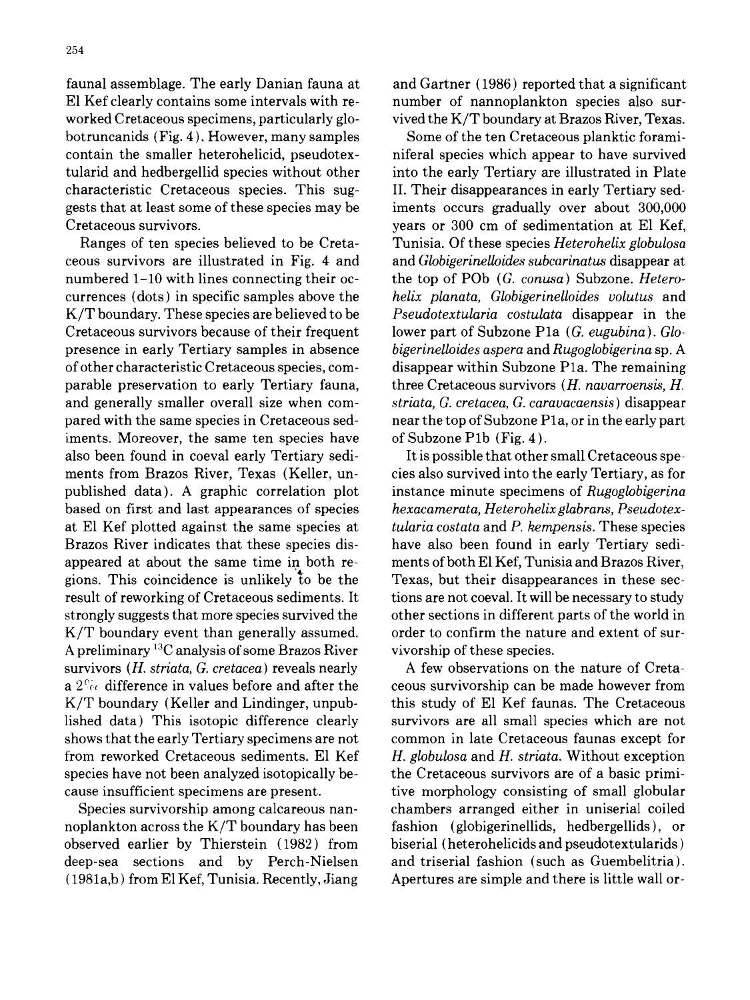faunal assemblage. The early Danian fauna at and Gartner (1986) reported that a significant E1 Kef clearly contains some intervals with re- number of nannoplankton species also surworked Cretaceous specimens, particularly glo- vived the K/T boundary at Brazos River, Texas. botruncanids (Fig. 4). However, many samples Some of the ten Cretaceous planktic foramicontain the smaller heterohelicid, pseudotex- niferal species which appear to have survived tularid and hedbergellid species without other into the early Tertiary are illustrated in Plate characteristic Cretaceous species. This sug- II. Their disappearances in early Tertiary sedgests that at least some of these species may be iments occurs gradually over about 300,000 Cretaceous survivors, years or 300 cm of sedimentation at E1 Kef,

ceous survivors are illustrated in Fig. 4 and and *Globigerinelloides subcarinatus* disappear at numbered 1-10 with lines connecting their oc- the top of POb *(G. conusa)* Subzone. *Hetero*currences (dots) in specific samples above the *helix planata, Globigerinelloides volutus* and K/T boundary. These species are believed to be *Pseudotextularia costulata* disappear in the Cretaceous survivors because of their frequent lower part of Subzone Pla *(G. eugubina). Glo*presence in early Tertiary samples in absence *bigerinelloides aspera* and *Rugoglobigerina* sp. A of other characteristic Cretaceous species, com- disappear within Subzone Pla. The remaining parable preservation to early Tertiary fauna, three Cretaceous survivors *(H. navarroensis, H.*  and generally smaller overall size when com- *striata, G. cretacea, G. caravacaensis)* disappear pared with the same species in Cretaceous sed- near the top of Subzone Pla, or in the early part iments. Moreover, the same ten species have of Subzone P1b (Fig.  $4$ ). also been found in coeval early Tertiary sedi- It is possible that other small Cretaceous spements from Brazos River, Texas (Keller, un- cies also survived into the early Tertiary, as for published data). A graphic correlation plot instance minute specimens of *Rugoglobigerina*  based on first and last appearances of species *hexacamerata, Heterohelixglabrans, Pseudotex*at E1 Kef plotted against the same species at *tularia costata* and *P. kempensis.* These species Brazos River indicates that these species dis- have also been found in early Tertiary sediappeared at about the same time in both re- ments of both E1 Kef, Tunisia and Brazos River, gions. This coincidence is unlikely to be the Texas, but their disappearances in these secresult of reworking of Cretaceous sediments. It tions are not coeval. It will be necessary to study strongly suggests that more species survived the other sections in different parts of the world in  $K/T$  boundary event than generally assumed.  $\qquad$  order to confirm the nature and extent of sur-A preliminary  $^{13}$ C analysis of some Brazos River vivorship of these species. survivors *(H. striata, G. cretacea)* reveals nearly A few observations on the nature of Cretaa  $2\%$  difference in values before and after the ceous survivorship can be made however from K/T boundary (Keller and Lindinger, unpub- this study of E1 Kef faunas. The Cretaceous shows that the early Tertiary specimens are not common in late Cretaceous faunas except for from reworked Cretaceous sediments. E1 Kef *H. globulosa* and *H. striata.* Without exception species have not been analyzed isotopically be-<br>the Cretaceous survivors are of a basic primicause insufficient specimens are present. tive morphology consisting of small globular

noplankton across the K/T boundary has been fashion (globigerinellids, hedbergellids), or observed earlier by Thierstein (1982) from biserial (heterohelicids and pseudotextularids) deep-sea sections and by Perch-Nielsen and triserial fashion (such as Guembelitria). (1981a,b) from El Kef, Tunisia. Recently, Jiang Apertures are simple and there is little wall or-

Ranges of ten species believed to be Creta- Tunisia. Of these species *Heterohelix globulosa* 

lished data) This isotopic difference clearly survivors are all small species which are not Species survivorship among calcareous nan- chambers arranged either in uniserial coiled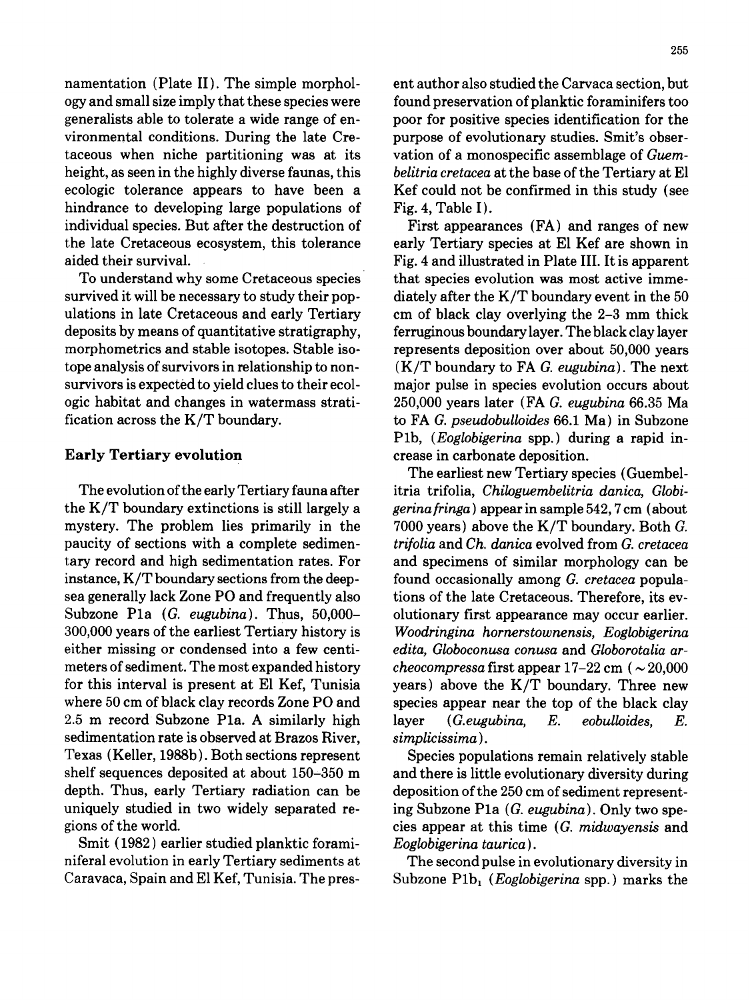ogy and small size imply that these species were found preservation of planktic foraminifers too generalists able to tolerate a wide range of en- poor for positive species identification for the vironmental conditions. During the late Cre- purpose of evolutionary studies. Smit's obsertaceous when niche partitioning was at its vation of a monospecific assemblage of *Guem*height, as seen in the highly diverse faunas, this *belitria cretacea* at the base of the Tertiary at E1 ecologic tolerance appears to have been a Kef could not be confirmed in this study (see hindrance to developing large populations of Fig. 4, Table I). individual species. But after the destruction of First appearances (FA) and ranges of new the late Cretaceous ecosystem, this tolerance early Tertiary species at E1 Kef are shown in aided their survival. Fig. 4 and illustrated in Plate III. It is apparent

survived it will be necessary to study their pop-<br>diately after the K/T boundary event in the 50 ulations in late Cretaceous and early Tertiary cm of black clay overlying the 2-3 mm thick deposits by means of quantitative stratigraphy, ferruginous boundary layer. The black clay layer morphometrics and stable isotopes. Stable iso- represents deposition over about 50,000 years tope analysis of survivors in relationship to non- (K/T boundary to FAG. *eugubina).* The next survivors is expected to yield clues to their ecol- major pulse in species evolution occurs about ogic habitat and changes in watermass strati- 250,000 years later (FA *G. eugubina* 66.35 Ma fication across the K/T boundary, to FAG. *pseudobulloides* 66.1 Ma) in Subzone

the K/T boundary extinctions is still largely a *gerinafringa)* appear in sample 542, 7 cm (about mystery. The problem lies primarily in the 7000 years) above the K/T boundary. Both G. paucity of sections with a complete sedimen- *trifolia* and *Ch. danica* evolved from *G. cretacea*  tary record and high sedimentation rates. For and specimens of similar morphology can be instance, K/T boundary sections from the deep- found occasionally among *G. cretacea* populasea generally lack Zone PO and frequently also tions of the late Cretaceous. Therefore, its ev-Subzone P1a *(G. eugubina)*. Thus, 50,000- olutionary first appearance may occur earlier. 300,000 years of the earliest Tertiary history is *Woodringina hornerstownensis, Eoglobigerina*  either missing or condensed into a few centi- *edita, Globoconusa conusa* and *Globorotalia ar*meters of sediment. The most expanded history *cheocompressa* first appear 17-22 cm ( ~ 20,000 for this interval is present at El Kef, Tunisia years) above the K/T boundary. Three new where 50 cm of black clay records Zone PO and species appear near the top of the black clay 2.5 m record Subzone Pla. A similarly high layer *(G.eugubina, E. eobulloides, E.*  sedimentation rate is observed at Brazos River, *simplicissima).*  Texas (Keller, 1988b). Both sections represent Species populations remain relatively stable shelf sequences deposited at about 150-350 m and there is little evolutionary diversity during depth. Thus, early Tertiary radiation can be deposition of the 250 cm of sediment representuniquely studied in two widely separated re- ing Subzone Pla *(G. eugubina).* Only two spegions of the world, cies appear at this time *(G. midwayensis* and

Smit (1982) earlier studied planktic forami-<br>
Eoglobigerina taurica). niferal evolution in early Tertiary sediments at The second pulse in evolutionary diversity in

namentation (Plate II). The simple morphol- ent author also studied the Carvaca section, but

To understand why some Cretaceous species that species evolution was most active imme-Plb, *(Eoglobigerina* spp.) during a rapid in-Early Tertiary evolution example of the crease in carbonate deposition.

The earliest new Tertiary species (Guembel-The evolution of the early Tertiary fauna after itria trifolia, *Chiloguernbelitria danica, Globi-*

Caravaca, Spain and El Kef, Tunisia. The pres-<br>Subzone P1b<sub>1</sub> (*Eoglobigerina* spp.) marks the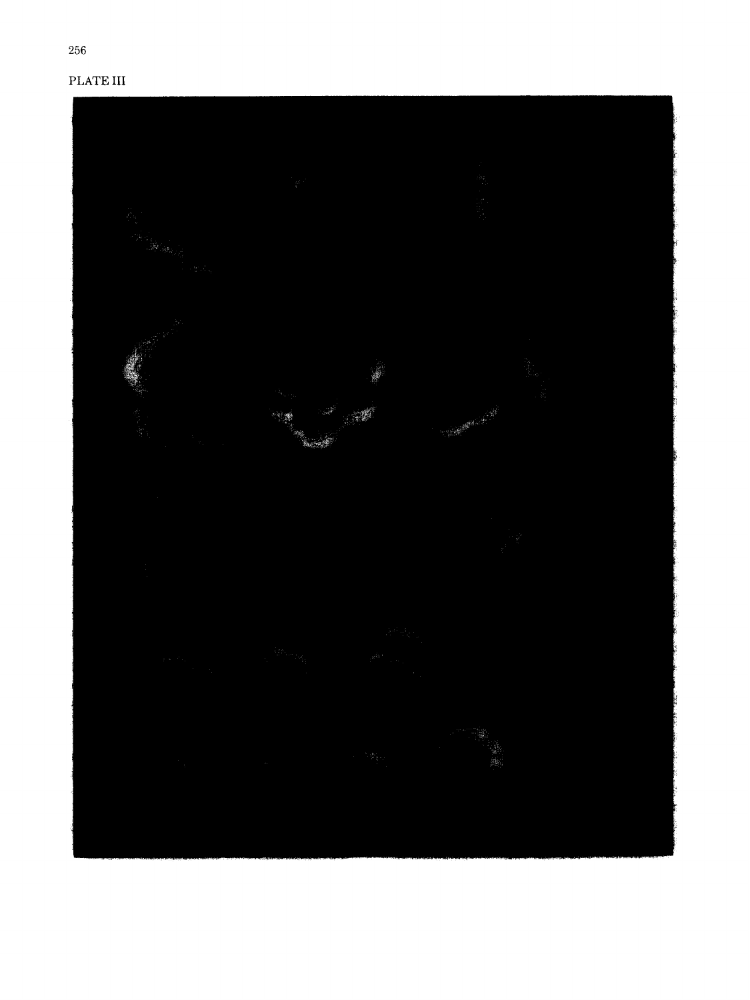# PLATE III

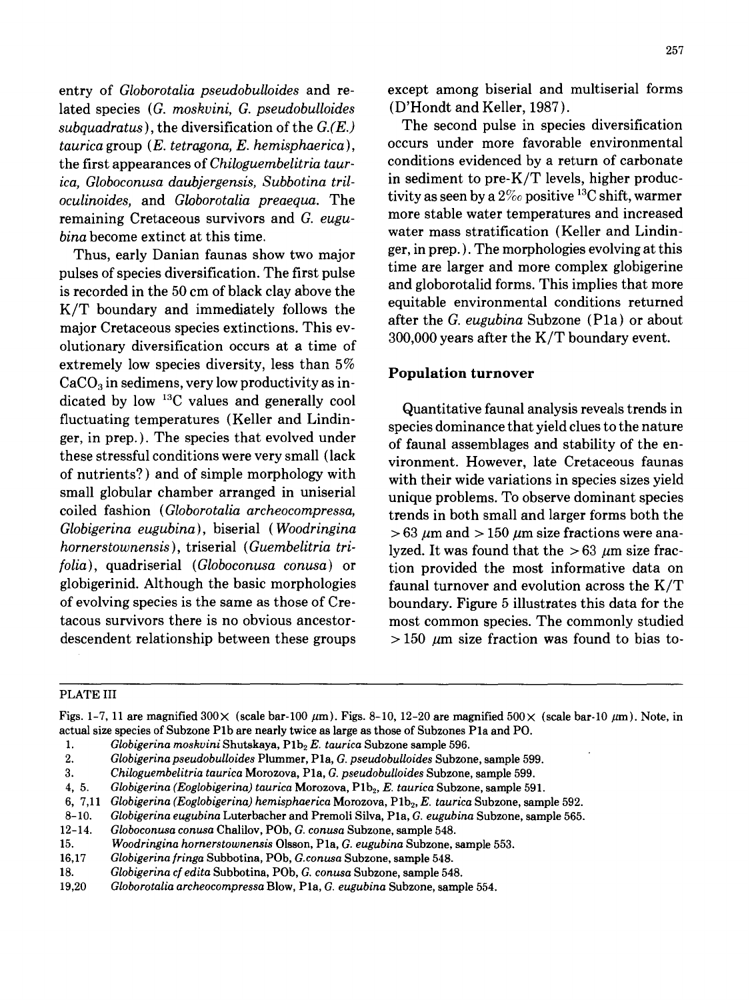lated species *(G. moskvini, G. pseudobulloides* (D'Hondt and Keller, 1987). *subquadratus),* the diversification of the *G.(E.)* The second pulse in species diversification *tauricagroup (E. tetragona, E. hemisphaerica),* occurs under more favorable environmental the first appearances of *Chiloguembelitria taur*-<br> *conditions* evidenced by a return of carbonate<br> *ica Globoconusa daubiergensis Subboting tril*-<br>
in sediment to pre-K/T levels, higher produc*ica, Globoconusa daubjergensis, Subbotina tril-* in sediment to pre-K/T levels, higher produc*oculinoides,* and *Globorotalia preaequa*. The remaining Cretaceous survivors and G. eugu-<br>more stable water temperatures and increased

Thus, early Danian faunas show two major pulses of species diversification. The first pulse time are larger and more complex globigerine<br>is recorded in the 50 cm of block clay change has is recorded in the 50 cm of black clay above the and globorotalid forms. This implies that more<br> $V/T$  have done and important follows the equitable environmental conditions returned  $K/T$  boundary and immediately follows the equitable environmental conditions returned<br>after the G. eugubina Subzone (P1a) or about major Cretaceous species extinctions. This ev-<br>300,000 years after the K/T boundary event. olutionary diversification occurs at a time of extremely low species diversity, less than  $5\%$  Population turnover  $CaCO<sub>3</sub>$  in sedimens, very low productivity as indicated by low <sup>13</sup>C values and generally cool Quantitative faunal analysis reveals trends in<br>fluctuating temperatures (Keller and Lindinfluctuating temperatures (Keller and Lindin-<br>ger, in prep.). The species that evolved under<br>example accombiance and stability of the one ger, in prep. ). The species that evolved under of faunal assemblages and stability of the en-<br>these stressful conditions were very small (lack international Heriotical Leta Crategoous founds of nutrients?) and of simple morphology with with their wide variations in species sizes yield small globular chamber arranged in uniserial unique problems. To observe dominant species coiled fashion *(Globorotalia archeocompressa,* trends in both small and larger forms both the *Globigerina eugubina*), biserial (*Woodringina*  $> 63 \mu m$  and  $> 150 \mu m$  size fractions were ana*hornerstownensis), triserial (Guembelitria tri-verify lyzed. It was found that the > 63*  $\mu$ *m size fracfolia),* quadriserial *(Globoconusa conusa)* or tion provided the most informative data on globigerinid. Although the basic morphologies faunal turnover and evolution across the  $K/T$ of evolving species is the same as those of Cre- boundary. Figure 5 illustrates this data for the tacous survivors there is no obvious ancestor- most common species. The commonly studied descendent relationship between these groups  $> 150 \mu m$  size fraction was found to bias to-

entry of *Globorotalia pseudobuUoides* and re- except among biserial and multiserial forms

*bina* become extinct at this time.<br>Thus, early Danian founds show two mojes exter, in prep.). The morphologies evolving at this

vironment. However, late Cretaceous faunas

## PLATE III

Figs. 1-7, 11 are magnified  $300 \times$  (scale bar-100  $\mu$ m). Figs. 8-10, 12-20 are magnified  $500 \times$  (scale bar-10  $\mu$ m). Note, in actual size species of Subzone Plb are nearly twice as large as those of Subzones Pla and PO.

- *2. Globigerina pseudobulloides* Plummer, Pla, *G. pseudobuUoides* Subzone, sample 599.
- *3. Chiloguembelitria taurica* Morozova, Pla, *G. pseudobuUoides* Subzone, sample 599.
- 
- 4, 5. *Globigerina (Eoglobigerina) taurica* Morozova, P1b<sub>2</sub>, *E. taurica* Subzone, sample 591.<br>6, 7,11 Globigerina (Eoglobigerina) hemisphaerica Morozova, P1b<sub>2</sub>, *E. taurica* Subzone, samp 6, 7,11 *Globigerina (Eoglobigerina) hemisphaerica* Morozova, Plb~, *E. taurica* Subzone, sample 592.
- 8-10. *Globigerina eugubina* Luterbacher and Premoli Silva, Pla, *G. eugubina* Subzone, sample 565.
- 12-14. *Globoconusa conusa* Chalilov, POb, *G. conusa* Subzone, sample 548.
- 15. *Woodringina hornerstownensis* Olsson, Pla, *G. eugubina* Subzone, sample 553.
- 
- 16,17 *Globigerinafringa* Subbotina, POb, *G.conusa* Subzone, sample 548. 18. *Globigerina cf edita* Subbotina, POb, *G. conusa* Subzone, sample 548.
- 19,20 *Globorotalia archeocompressa* Blow, Pla, *G. eugubina* Subzone, sample 554.

<sup>1.</sup> *Globigerina moskvini Shutskaya, P1b<sub>2</sub> E. taurica Subzone sample 596.*<br>2. *Globigerina pseudobulloides Plummer, P1a, G. pseudobulloides Subzon*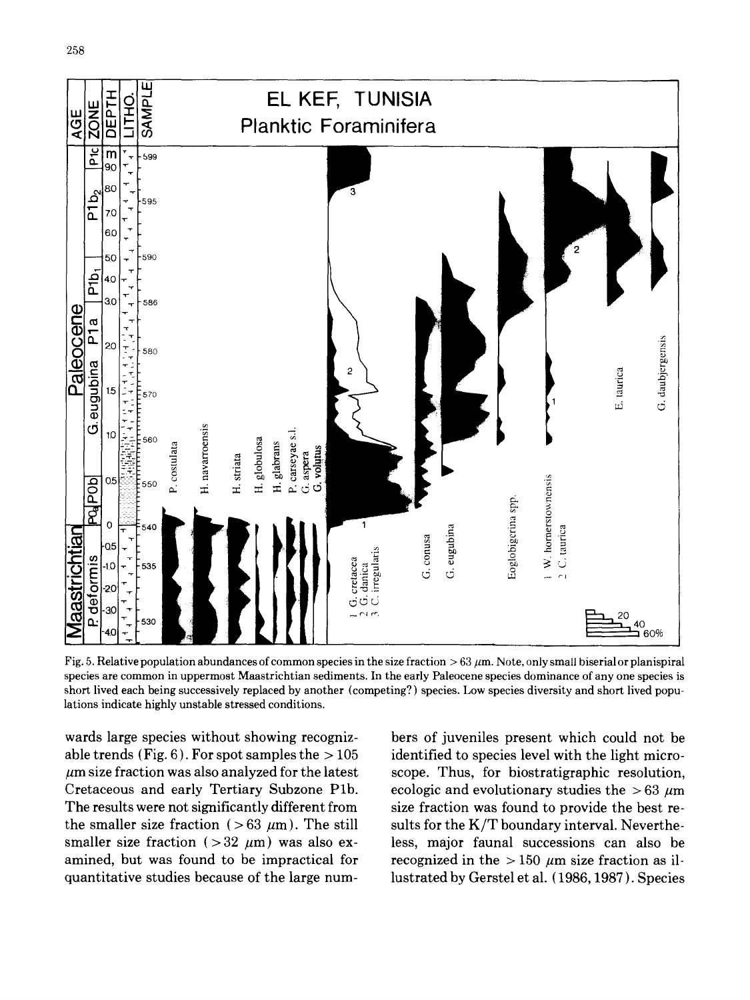

Fig. 5. Relative population abundances of common species in the size fraction  $> 63 \mu m$ . Note, only small biserial or planispiral species are common in uppermost Maastrichtian sediments. In the early Paleocene species dominance of any one species is short lived each being successively replaced by another (competing?) species. Low species diversity and short lived populations indicate highly unstable stressed conditions.

wards large species without showing recogniz- bers of juveniles present which could not be able trends (Fig. 6). For spot samples the  $> 105$  identified to species level with the light micro- $\mu$ m size fraction was also analyzed for the latest scope. Thus, for biostratigraphic resolution, Cretaceous and early Tertiary Subzone P1b. ecologic and evolutionary studies the  $>63~\mu m$ The results were not significantly different from size fraction was found to provide the best rethe smaller size fraction ( $> 63 \mu m$ ). The still sults for the K/T boundary interval. Neverthesmaller size fraction ( $>32 \mu m$ ) was also ex- less, major faunal successions can also be amined, but was found to be impractical for recognized in the  $> 150 \mu m$  size fraction as ilquantitative studies because of the large num- lustrated by Gerstel et al. ( 1986, 1987 ). Species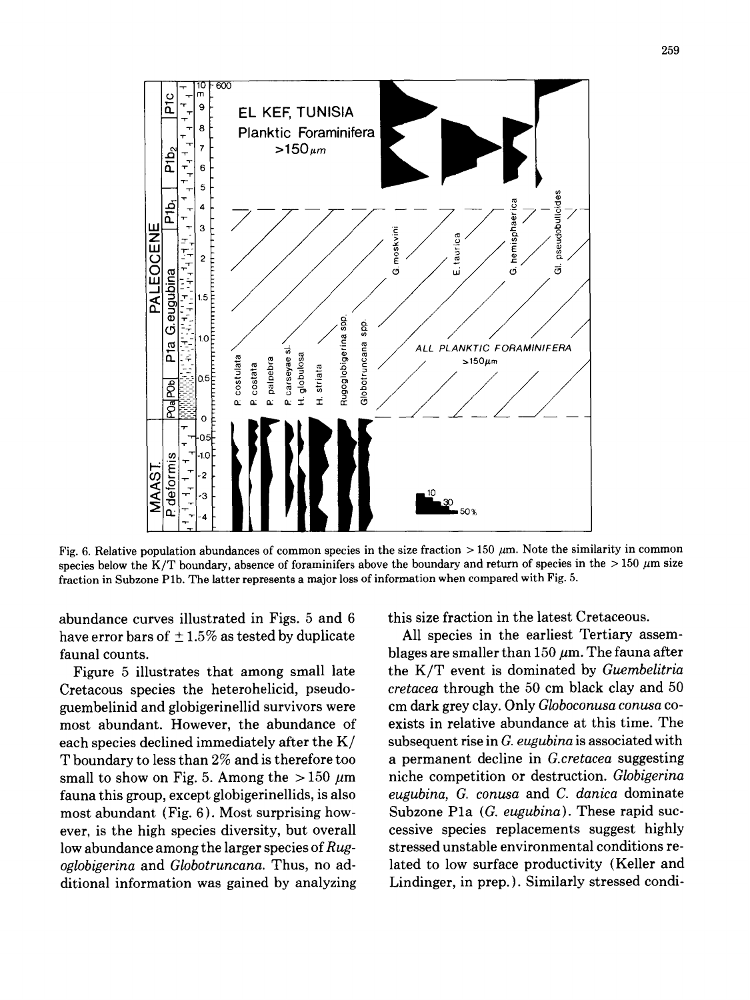

Fig. 6. Relative population abundances of common species in the size fraction  $> 150 \mu m$ . Note the similarity in common species below the K/T boundary, absence of foraminifers above the boundary and return of species in the  $> 150 \mu m$  size fraction in Subzone Plb. The latter represents a major loss of information when compared with Fig. 5.

abundance curves illustrated in Figs.  $5$  and  $6$  this size fraction in the latest Cretaceous. have error bars of  $\pm 1.5\%$  as tested by duplicate All species in the earliest Tertiary assemfaunal counts.  $blages are smaller than 150~\mu m$ . The fauna after

Cretacous species the heterohelicid, pseudo- *cretacea* through the 50 cm black clay and 50 guembelinid and globigerinellid survivors were most abundant. However, the abundance of exists in relative abundance at this time. The each species declined immediately after the K/ subsequent rise in *G. eugubina* is associated with T boundary to less than 2% and is therefore too a permanent decline in *G.cretacea* suggesting small to show on Fig. 5. Among the  $>150 \mu m$  niche competition or destruction. *Globigerina* fauna this group, except globigerinellids, is also *eugubina, G. conusa* and *C. danica* dominate most abundant (Fig. 6). Most surprising how- Subzone Pla *(G. eugubina).* These rapid sucever, is the high species diversity, but overall cessive species replacements suggest highly low abundance among the larger species of Rug-<br>stressed unstable environmental conditions re*oglobigerina* and *Globotruncana.* Thus, no ad- lated to low surface productivity {Keller and ditional information was gained by analyzing Lindinger, in prep. }. Similarly stressed condi-

Figure 5 illustrates that among small late the K/T event is dominated by *Guembelitria*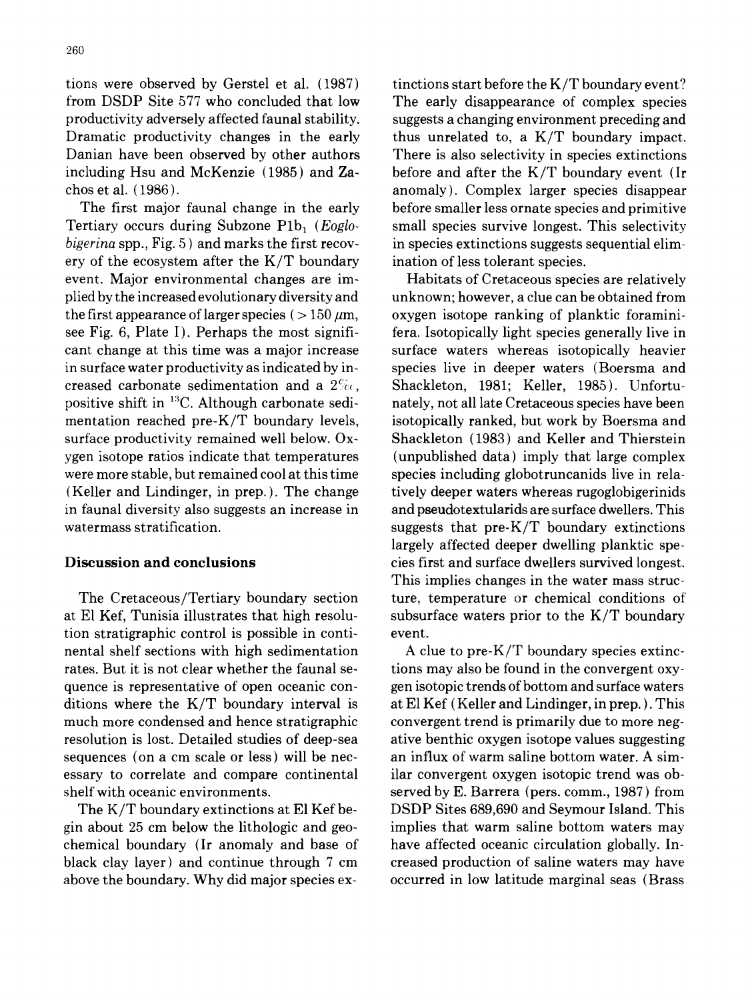tions were observed by Gerstel et al.  $(1987)$  tinctions start before the K/T boundary event? from DSDP Site 577 who concluded that low The early disappearance of complex species productivity adversely affected faunal stability, suggests a changing environment preceding and Dramatic productivity changes in the early thus unrelated to, a K/T boundary impact. Danian have been observed by other authors There is also selectivity in species extinctions including Hsu and McKenzie (1985) and  $\mathbb{Z}_4$ - before and after the K/T boundary event (Ir choset al. (1986). anomaly). Complex larger species disappear

Tertiary occurs during Subzone P1b, (*Eoglo* small species survive longest. This selectivity *bigerina* spp., Fig. 5) and marks the first recov- in species extinctions suggests sequential elimery of the ecosystem after the  $K/T$  boundary ination of less tolerant species. event. Major environmental changes are im- Habitats of Cretaceous species are relatively plied by the increased evolutionary diversity and unknown; however, a clue can be obtained from the first appearance of larger species ( $>150 \mu m$ , oxygen isotope ranking of planktic foraminisee Fig. 6, Plate I). Perhaps the most signifi- fera. Isotopically light species generally live in cant change at this time was a major increase surface waters whereas isotopically heavier in surface water productivity as indicated by in- species live in deeper waters (Boersma and creased carbonate sedimentation and a  $2\%$ . Shackleton, 1981; Keller, 1985). Unfortupositive shift in  $^{13}$ C. Although carbonate sedi- nately, not all late Cretaceous species have been mentation reached pre- $K/T$  boundary levels, isotopically ranked, but work by Boersma and surface productivity remained well below. Ox-<br>Shackleton (1983) and Keller and Thierstein ygen isotope ratios indicate that temperatures (unpublished data) imply that large complex were more stable, but remained cool at this time species including globotruncanids live in rela-(Keller and Lindinger, in prep.). The change tively deeper waters whereas rugoglobigerinids in faunal diversity also suggests an increase in and pseudotextularids are surface dwellers. This watermass stratification.  $s$  suggests that  $pre-K/T$  boundary extinctions

at E1 Kef, Tunisia illustrates that high resolu- subsurface waters prior to the K/T boundary tion stratigraphic control is possible in conti- event. nental shelf sections with high sedimentation A clue to pre-K/T boundary species extincrates. But it is not clear whether the faunal se-<br>tions may also be found in the convergent oxyquence is representative of open oceanic con- gen isotopic trends of bottom and surface waters ditions where the  $K/T$  boundary interval is at El Kef (Keller and Lindinger, in prep.). This much more condensed and hence stratigraphic convergent trend is primarily due to more negresolution is lost. Detailed studies of deep-sea ative benthic oxygen isotope values suggesting sequences (on a cm scale or less) will be nec- an influx of warm saline bottom water. A simessary to correlate and compare continental ilar convergent oxygen isotopic trend was obshelf with oceanic environments. served by E. Barrera (pers. comm., 1987) from

gin about 25 cm below the lithologic and geo- implies that warm saline bottom waters may chemical boundary (Ir anomaly and base of have affected oceanic circulation globally. Inblack clay layer) and continue through 7 cm creased production of saline waters may have above the boundary. Why did major species ex- occurred in low latitude marginal seas (Brass

The first major faunal change in the early before smaller less ornate species and primitive

largely affected deeper dwelling planktic spe-Discussion **and conclusions** cies first and surface dwellers survived longest. This implies changes in the water mass struc-The Cretaceous/Tertiary boundary section ture, temperature or chemical conditions of'

The K/T boundary extinctions at E1 Kef be- DSDP Sites 689,690 and Seymour Island. This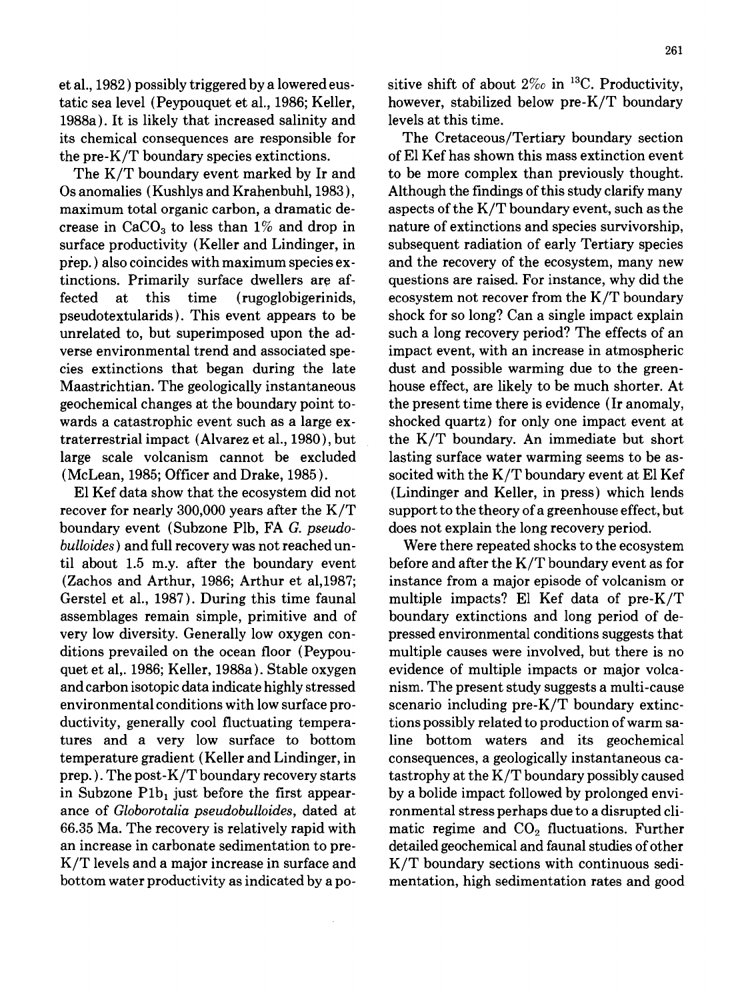1988a). It is likely that increased salinity and levels at this time. its chemical consequences are responsible for The Cretaceous/Tertiary boundary section the pre-K/T boundary species extinctions.  $\qquad \qquad$  of El Kef has shown this mass extinction event

Os anomalies (Kushlys and Krahenbuhl, 1983 ), Although the findings of this study clarify many maximum total organic carbon, a dramatic de-<br>aspects of the K/T boundary event, such as the crease in  $CaCO<sub>3</sub>$  to less than 1% and drop in nature of extinctions and species survivorship, surface productivity (Keller and Lindinger, in subsequent radiation of early Tertiary species prep.) also coincides with maximum species ex- and the recovery of the ecosystem, many new tinctions. Primarily surface dwellers are af- questions are raised. For instance, why did the fected at this time (rugoglobigerinids, ecosystem not recover from the K/T boundary pseudotextularids). This event appears to be shock for so long? Can a single impact explain unrelated to, but superimposed upon the ad- such a long recovery period? The effects of an verse environmental trend and associated spe- impact event, with an increase in atmospheric cies extinctions that began during the late dust and possible warming due to the green-Maastrichtian. The geologically instantaneous house effect, are likely to be much shorter. At geochemical changes at the boundary point to- the present time there is evidence (Ir anomaly, wards a catastrophic event such as a large ex-<br>shocked quartz) for only one impact event at traterrestrial impact (Alvarez et al., 1980), but the K/T boundary. An immediate but short large scale volcanism cannot be excluded lasting surface water warming seems to be as- (McLean, 1985; Officer and Drake, 1985). socited with the K/T boundary event at E1 Kef

recover for nearly 300,000 years after the  $K/T$  support to the theory of a greenhouse effect, but boundary event (Subzone Plb, FA *G. pseudo-* does not explain the long recovery period. *bulloides)* and full recovery was not reached un- Were there repeated shocks to the ecosystem til about 1.5 m.y. after the boundary event before and after the  $K/T$  boundary event as for (Zachos and Arthur, 1986; Arthur et a1,1987; instance from a major episode of volcanism or Gerstel et al., 1987). During this time faunal multiple impacts? El Kef data of pre- $K/T$ assemblages remain simple, primitive and of boundary extinctions and long period of devery low diversity. Generally low oxygen con- pressed environmental conditions suggests that ditions prevailed on the ocean floor (Peypou- multiple causes were involved, but there is no quet et al,. 1986; Keller, 1988a). Stable oxygen evidence of multiple impacts or major volcaand carbon isotopic data indicate highly stressed nism. The present study suggests a multi-cause environmental conditions with low surface pro- scenario including pre-K/T boundary extincductivity, generally cool fluctuating tempera- tions possibly related to production of warm satures and a very low surface to bottom line bottom waters and its geochemical temperature gradient (Keller and Lindinger, in consequences, a geologically instantaneous caprep. ). The post-K/T boundary recovery starts tastrophy at the K/T boundary possibly caused in Subzone  $P1b_1$  just before the first appear- by a bolide impact followed by prolonged enviance of *Globorotalia pseudobulloides,* dated at ronmental stress perhaps due to a disrupted cli-66.35 Ma. The recovery is relatively rapid with matic regime and  $CO<sub>2</sub>$  fluctuations. Further an increase in carbonate sedimentation to pre- detailed geochemical and faunal studies of other  $K/T$  levels and a major increase in surface and  $K/T$  boundary sections with continuous sedibottom water productivity as indicated by a po- mentation, high sedimentation rates and good

et al., 1982) possibly triggered by a lowered eus-<br>sitive shift of about  $2\%$  in <sup>13</sup>C. Productivity, tatic sea level (Peypouquet et al., 1986; Keller, however, stabilized below pre-K/T boundary

The K/T boundary event marked by Ir and to be more complex than previously thought. El Kef data show that the ecosystem did not (Lindinger and Keller, in press) which lends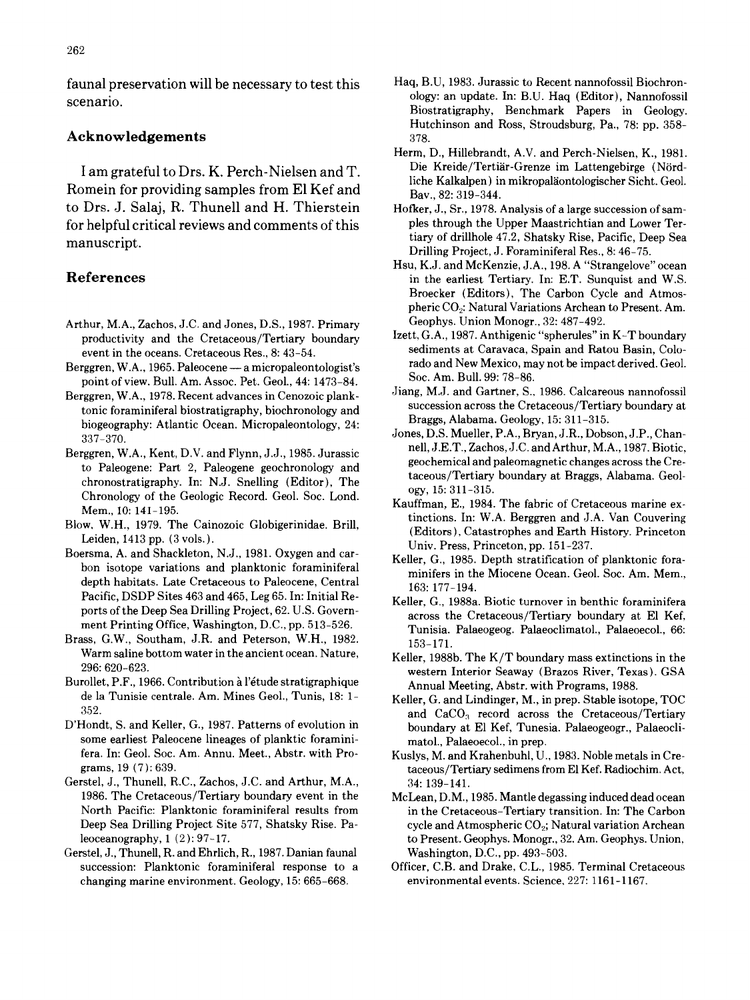scenario. Consumer and the second of the second of the second of the second of the second of the second of the second of the second of the second of the second of the second of the second of the second of the second of the

## Acknowledgements 378.

Romein for providing samples from El Kef and  $B_{av.}$ , 82: 319-344. to Drs. J. Salaj, R. Thunell and H. Thierstein Hofker, J., Sr., 1978. Analysis of a large succession of samfor helpful critical reviews and comments of this pies through the Upper Maastrichtian and Lower Termanuscript, tiary of drillhole 47.2, Shatsky Rise, Pacific, Deep Sea

- Arthur, M.A., Zachos, J.C. and Jones, D.S., 1987. Primary Geophys. Union Monogr., 32: 487-492.<br>productivity and the Cretaceous/Tertiary boundary Izett, G.A., 1987. Anthigenic "spherules" in K-T boundary
- Berggren, W.A., 1965. Paleocene -- a micropaleontologist's rado and New Mexico, may not be impact derived. For the impact derived. For the impact derived. For the impact derived. Geol. 44: 1472. 84. Soc. Am. Bull. 99: 78-8 point of view. Bull. Am. Assoc. Pet. Geol., 44: 1473–84. Soc. Am. Bull. 99: 78–86.<br>Figure N.A., 1978. Bosont education Concession Ionk Jiang, M.J. and Gartner, S., 1986. Calcareous nannofossil
- Berggren, W.A., 1978. Recent advances in Cenozoic plank-<br>succession across the Cretaceous/Tertiary boundary at<br>succession across the Cretaceous/Tertiary boundary at tonic foraminiferal biostratigraphy, biochronology and succession across the Cretaceous/Tertia<br>hiogeography, Atlantic Ocean, Micropeleontology, 24: Braggs, Alabama, Geology, 15: 311-315. biogeography: Atlantic Ocean. Micropaleontology, 24:
- Berggren, W.A., Kent, D.V. and Flynn, J.J., 1985. Jurassic nell, J.E.T., Zachos, J.C. and Arthur, M.A., 1987. Biotic, chronostratigraphy. In: N.J. Snelling (Editor), The taceous/Tertiary boundary at Braggs, Alabama. Geology, Alabama. Geology, Alabama. Geology, Alabama. Geology, Alabama. Geology, Alabama. Geology, Alabama. Geology, Alabam Chronology of the Geologic Record. Geol. Soc. Lond. Mem., 10: 141-195.
- 
- Leiden, 1415 pp. (3 vols.).<br>Boersma, A. and Shackleton, N.J., 1981. Oxygen and car-<br> $V_1$ lles, G. 1995. Danth startification. depth habitats. Late Cretaceous to Paleocene, Central 163: 177-194.<br>Pacific, DSDP Sites 463 and 465, Leg 65. In: Initial Re-Pacific, DSDP Sites 463 and 465, Leg 65. In: Initial Re-<br>
Reller, G., 1988a. Biotic turnover in benthic foraminifera<br>
Series the Crategoous (Textion: houndary at El Kef
- Brass, G.W., Southam, J.R. and Peterson, W.H., 1982. 153-171. Warm saline bottom water in the ancient ocean. Nature,<br>  $Keller$ , 1988b. The K/T boundary mass extinctions in the 296: 620-623.
- de la Tunisie centrale. Am. Mines Geol., Tunis, 18: 1- Keller, G. and Lindinger, M., in prep. Stable isotope, TOC
- some earliest Paleocene lineages of planktic foramini- matol., Palaeoecol., in prep. fera. In: Geol. Soc. Am. Annu. Meet., Abstr. with Pro- Kuslys, M. and Krahenbuhl, U., 1983. Noble metals in Cre-
- Gerstel, J., Thunell, R.C., Zachos, J.C. and Arthur, M.A., 34: 139-141. 1986. The Cretaceous/Tertiary boundary event in the McLean, D.M., 1985. Mantle degassing induced dead ocean
- Gerstel, J., Thunell, R. and Ehrlich, R., 1987. Danian faunal Washington, D.C., pp. 493-503. changing marine environment. Geology, 15: 665-668. environmental events. Science, 227:1161-1167.
- faunal preservation will be necessary to test this Haq, B.U, 1983. Jurassic to Recent nannofossil Biochron-Biostratigraphy, Benchmark Papers in Geology. Hutchinson and Ross, Stroudsburg, Pa., 78: pp. 358-
	- Herm, D., Hillebrandt, A.V. and Perch-Nielsen, K., 1981. I am grateful to Drs. K. Perch-Nielsen and T. Die Kreide/Tertiär-Grenze im Lattengebirge (Nördliche Kalkalpen) in mikropaläontologischer Sicht. Geol.
		- Drilling Project, J. Foraminiferal Res., 8: 46-75.
- Hsu, K.J. and McKenzie, J.A., 198. A "Strangelove" ocean **References** in the earliest Tertiary. In: E.T. Sunquist and W.S. Broecker (Editors), The Carbon Cycle and Atmospheric CO<sub>2</sub>: Natural Variations Archean to Present. Am.<br>Geophys. Union Monogr., 32: 487-492.
	- productivity and the Cretaceous/Tertiary boundary Izett, G.A., 1987. Anthigenic "spherules" in K-T boundary<br>
	sediments at Caravaca, Spain and Ratou Basin, Colo-<br>
	sediments at Caravaca, Spain and Ratou Basin, Coloevent in the oceans. Cretaceous Res., 8: 43–54. sediments at Caravaca, Spain and Ratou Basin, Colo-<br>rggren, W.A., 1965, Peleocene – a micropaleontologist's stade and New Mexico, may not be impact derived. Geol.
		-
	- 337-370.<br>337-370. Jones, D.S. Mueller, P.A., Bryan, J.R., Dobson, J.P., Chan-<br>11 1985 Juneseis Phill, J.E.T., Zachos, J.C. and Arthur, M.A., 1987. Biotic, to Paleogene: Part 2, Paleogene geochronology and geochemical and paleomagnetic changes across the Cre-<br>taceous/Tertiary boundary at Braggs, Alabama. Geol-
- tinctions. In: W.A. Berggren and J.A. Van Couvering Blow, W.H., 1979. The Cainozoic Globigerinidae. Brill, the Cainos. In: W.A. Beiggien and J.A. van Couvering (Editors), Catastrophes and Earth History. Princeton
	- $B_n$ , A. and Shackleton, N.J., 1981. Oxygen and car-<br>Bon isotope variations and planktonic foraminiferal satisfies in the Missour Case, Case Are Manu minifers in the Miocene Ocean. Geol. Soc. Am. Mem.,
	- ports of the Deep Sea Drilling Project, 62. U.S. Govern-<br>ment Printing Office, Washington, D.C., pp. 513–526. Tunisia, Pologogoga, Pologogimatel, Pologogol, 66. Tunisia. Palaeogeog. Palaeoclimatol., Palaeoecol., 66:
- 296: 620-623. western Interior Seaway (Brazos River, Texas). GSA Annual Meeting, Abstr. with Programs, 1988.
- 352. and Keller, G., 1987. Patterns of evolution in  $D'Hond$  at El Kef Tunesia Palaeogeogr. Palaeogliboundary at El Kef, Tunesia. Palaeogeogr., Palaeocli
	- grams, 19 (7): 639. **taceous/Tertiary sedimens from El Kef. Radiochim.** Act,
	- North Pacific: Planktonic foraminiferal results from in the Cretaceous-Tertiary transition. In: The Carbon Deep Sea Drilling Project Site 577, Shatsky Rise. Pa- cycle and Atmospheric CO<sub>2</sub>; Natural variation Archean leoceanography, 1 (2): 97-17. to Present. Geophys. Monogr., 32. Am. Geophys. Union,
	- succession: Planktonic foraminiferal response to a Officer, C.B. and Drake, C.L., 1985. Terminal Cretaceous